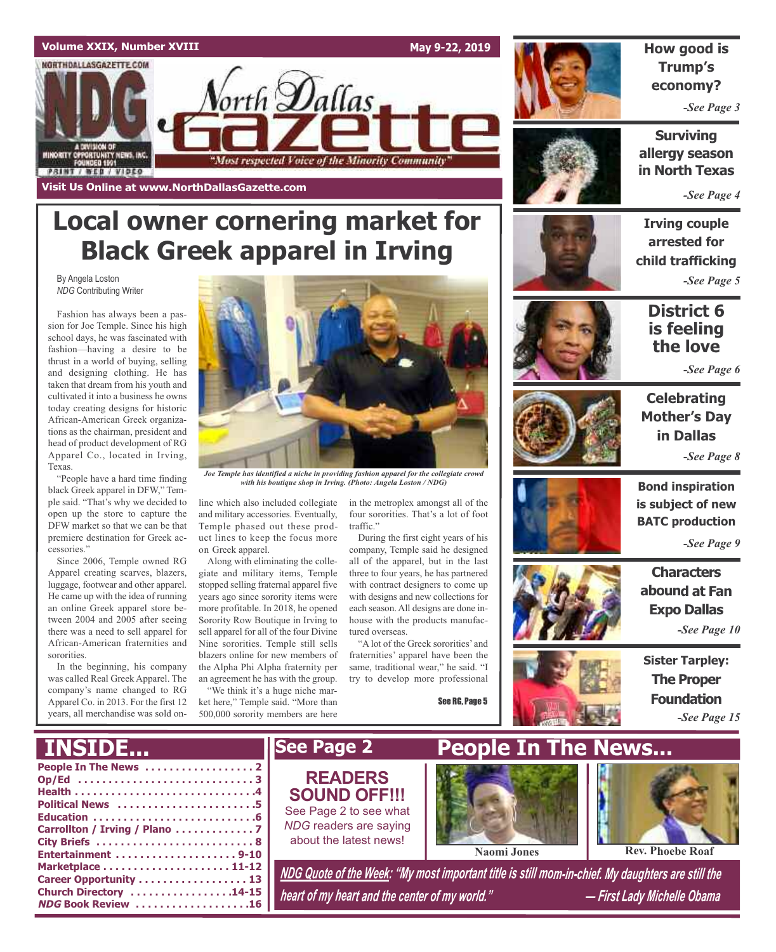

**Local owner cornering market for**

**Black Greek apparel in Irving**

## **How good is Trump's economy?**

*-See Page 3*

**Surviving allergy season in North Texas**

*-See Page 4*

## **Irving couple arrested for child trafficking** *-See Page 5*

**District 6 is feeling the love**

*-See Page 6*



## **Celebrating Mother's Day in Dallas** *-See Page 8*

**Bond inspiration is subject of new BATC production**

*-See Page 9*

**Characters abound at Fan Expo Dallas** *-See Page 10*

**Sister Tarpley: The Proper Foundation** *-See Page 15*



*Joe Temple has identified a niche in providing fashion apparel for the collegiate crowd with his boutique shop in Irving. (Photo: Angela Loston / NDG)*

line which also included collegiate and military accessories. Eventually, Temple phased out these product lines to keep the focus more on Greek apparel.

Along with eliminating the collegiate and military items, Temple stopped selling fraternal apparel five years ago since sorority items were more profitable. In 2018, he opened Sorority Row Boutique in Irving to sell apparel for all of the four Divine Nine sororities. Temple still sells blazers online for new members of the Alpha Phi Alpha fraternity per an agreement he has with the group.

"We think it's a huge niche market here," Temple said. "More than 500,000 sorority members are here

in the metroplex amongst all of the four sororities. That's a lot of foot traffic."

During the first eight years of his company, Temple said he designed all of the apparel, but in the last three to four years, he has partnered with contract designers to come up with designs and new collections for each season. All designs are done inhouse with the products manufactured overseas.

"A lot of the Greek sororities' and fraternities' apparel have been the same, traditional wear," he said. "I try to develop more professional

See RG, Page 5







**People In The News . . . . . . . . . . . . . . . . . . 2 Op/Ed . . . . . . . . . . . . . . . . . . . . . . . . . . . . . 3 Health . . . . . . . . . . . . . . . . . . . . . . . . . . . . . .4 Political News . . . . . . . . . . . . . . . . . . . . . . .5 Education . . . . . . . . . . . . . . . . . . . . . . . . . . .6 Carrollton / Irving / Plano . . . . . . . . . . . . . 7 City Briefs . . . . . . . . . . . . . . . . . . . . . . . . . . 8 Entertainment . . . . . . . . . . . . . . . . . . . . 9-10 Marketplace . . . . . . . . . . . . . . . . . . . . . 11-12 Career Opportunity . . . . . . . . . . . . . . . . . . 13** *NDG Quote of the Week: "My most important title is still mom-in-chief. My daughters are still the* **INSIDE... See Page 2 People In The News... Naomi Jones Rev. Phoebe Roaf READERS SOUND OFF!!!** See Page 2 to see what *NDG* readers are saying about the latest news!

*heart of my heart and the center of my world." — First Lady Michelle Obama*

By Angela Loston *NDG* Contributing Writer

Texas.

cessories."

sororities.

"People have a hard time finding black Greek apparel in DFW," Temple said. "That's why we decided to open up the store to capture the DFW market so that we can be that premiere destination for Greek ac-

Since 2006, Temple owned RG Apparel creating scarves, blazers, luggage, footwear and other apparel. He came up with the idea of running an online Greek apparel store between 2004 and 2005 after seeing there was a need to sell apparel for African-American fraternities and

In the beginning, his company was called Real Greek Apparel. The company's name changed to RG Apparel Co. in 2013. For the first 12 years, all merchandise was sold on-

**Church Directory . . . . . . . . . . . . . . . . .14-15 NDG Book Review . . . . . . . . . . . . . . . . . . .16**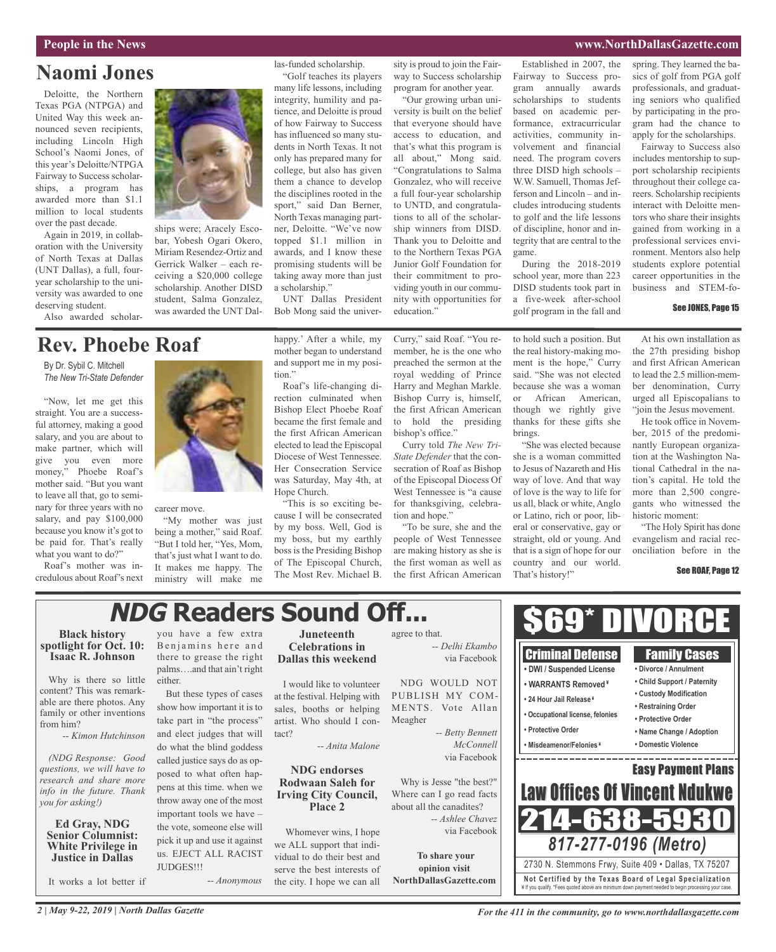### **People in the News www.NorthDallasGazette.com**

## **Naomi Jones**

Deloitte, the Northern Texas PGA (NTPGA) and United Way this week announced seven recipients, including Lincoln High School's Naomi Jones, of this year's Deloitte/NTPGA Fairway to Success scholarships, a program has awarded more than \$1.1 million to local students over the past decade.

Again in 2019, in collaboration with the University of North Texas at Dallas (UNT Dallas), a full, fouryear scholarship to the university was awarded to one deserving student.

Also awarded scholar-

ships were; Aracely Escobar, Yobesh Ogari Okero, Miriam Resendez-Ortiz and Gerrick Walker – each receiving a \$20,000 college scholarship. Another DISD student, Salma Gonzalez, was awarded the UNT Dallas-funded scholarship. "Golf teaches its players

many life lessons, including integrity, humility and patience, and Deloitte is proud of how Fairway to Success has influenced so many students in North Texas. It not only has prepared many for college, but also has given them a chance to develop the disciplines rooted in the sport," said Dan Berner, North Texas managing partner, Deloitte. "We've now topped \$1.1 million in awards, and I know these promising students will be taking away more than just a scholarship."

UNT Dallas President Bob Mong said the university is proud to join the Fairway to Success scholarship program for another year.

"Our growing urban university is built on the belief that everyone should have access to education, and that's what this program is all about," Mong said. "Congratulations to Salma Gonzalez, who will receive a full four-year scholarship to UNTD, and congratulations to all of the scholarship winners from DISD. Thank you to Deloitte and to the Northern Texas PGA Junior Golf Foundation for their commitment to providing youth in our commu-

Established in 2007, the Fairway to Success program annually awards scholarships to students based on academic performance, extracurricular activities, community involvement and financial need. The program covers three DISD high schools – W.W. Samuell, Thomas Jefferson and Lincoln – and includes introducing students to golf and the life lessons of discipline, honor and integrity that are central to the game. During the 2018-2019

school year, more than 223 DISD students took part in a five-week after-school golf program in the fall and spring. They learned the basics of golf from PGA golf professionals, and graduating seniors who qualified by participating in the program had the chance to apply for the scholarships.

Fairway to Success also includes mentorship to support scholarship recipients throughout their college careers. Scholarship recipients interact with Deloitte mentors who share their insights gained from working in a professional services environment. Mentors also help students explore potential career opportunities in the business and STEM-fo-

#### See JONES, Page 15

## **Rev. Phoebe Roaf**

By Dr. Sybil C. Mitchell *The New Tri-State Defender*

"Now, let me get this straight. You are a successful attorney, making a good salary, and you are about to make partner, which will give you even more money," Phoebe Roaf's mother said. "But you want to leave all that, go to seminary for three years with no salary, and pay \$100,000 because you know it's got to be paid for. That's really what you want to do?"

Roaf's mother was incredulous about Roaf's next



career move.

"My mother was just being a mother," said Roaf. "But I told her, "Yes, Mom, that's just what I want to do. It makes me happy. The ministry will make me

happy.' After a while, my mother began to understand and support me in my position."

Roaf's life-changing direction culminated when Bishop Elect Phoebe Roaf became the first female and the first African American elected to lead the Episcopal Diocese of West Tennessee. Her Consecration Service was Saturday, May 4th, at Hope Church.

"This is so exciting because I will be consecrated by my boss. Well, God is my boss, but my earthly boss is the Presiding Bishop of The Episcopal Church, The Most Rev. Michael B.

Bishop Curry is, himself, the first African American to hold the presiding bishop's office."

Curry told *The New Tri-State Defender* that the consecration of Roaf as Bishop of the Episcopal Diocess Of West Tennessee is "a cause for thanksgiving, celebration and hope."

"To be sure, she and the people of West Tennessee are making history as she is the first woman as well as the first African American to hold such a position. But the real history-making moment is the hope," Curry said. "She was not elected because she was a woman or African American, though we rightly give thanks for these gifts she brings.

"She was elected because she is a woman committed to Jesus of Nazareth and His way of love. And that way of love is the way to life for us all, black or white, Anglo or Latino, rich or poor, liberal or conservative, gay or straight, old or young. And that is a sign of hope for our country and our world. That's history!"

At his own installation as the 27th presiding bishop and first African American to lead the 2.5 million-member denomination, Curry urged all Episcopalians to "join the Jesus movement.

He took office in November, 2015 of the predominantly European organization at the Washington National Cathedral in the nation's capital. He told the more than 2,500 congregants who witnessed the historic moment:

"The Holy Spirit has done evangelism and racial reconciliation before in the

#### See ROAF, Page 12

# **NDG Readers Sound Off...**

## **Black history spotlight for Oct. 10: Isaac R. Johnson**

Why is there so little content? This was remarkable are there photos. Any family or other inventions from him?

*-- Kimon Hutchinson*

*(NDG Response: Good questions, we will have to research and share more info in the future. Thank you for asking!)*

### **Ed Gray, NDG Senior Columnist: White Privilege in Justice in Dallas**

It works a lot better if

you have a few extra Benjamins here and there to grease the right palms….and that ain't right either.

But these types of cases show how important it is to take part in "the process" and elect judges that will do what the blind goddess called justice says do as opposed to what often happens at this time. when we throw away one of the most important tools we have – the vote, someone else will pick it up and use it against us. EJECT ALL RACIST JUDGES!!! -*- Anonymous*

**Juneteenth Celebrations in Dallas this weekend**

I would like to volunteer at the festival. Helping with sales, booths or helping artist. Who should I contact?

*-- Anita Malone*

**NDG endorses Rodwaan Saleh for Irving City Council, Place 2**

Whomever wins, I hope we ALL support that individual to do their best and serve the best interests of the city. I hope we can all

agree to that. *-- Delhi Ekambo* via Facebook NDG WOULD NOT

PUBLISH MY COM-MENTS. Vote Allan Meagher *-- Betty Bennett*

*McConnell* via Facebook Why is Jesse "the best?"

Where can I go read facts about all the canadites? *-- Ashlee Chavez* via Facebook

**To share your opinion visit NorthDallasGazette.com**



*For the 411 in the community, go to www.northdallasgazette.com*

¥ If you qualify. \*Fees quoted above are minimum down payment needed to begin processing your case.

Curry," said Roaf. "You remember, he is the one who preached the sermon at the royal wedding of Prince Harry and Meghan Markle. nity with opportunities for education."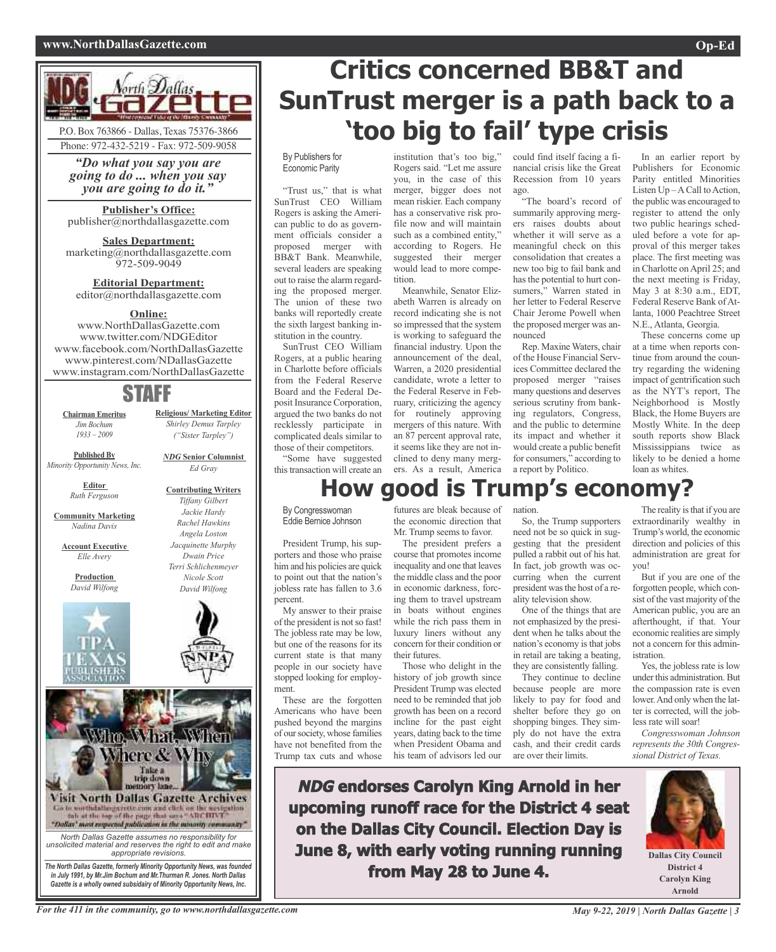### **www.NorthDallasGazette.com Op-Ed**



*"Do what you say you are going to do ... when you say you are going to do it."*

**Publisher's Office:** publisher@northdallasgazette.com

**Sales Department:** marketing@northdallasgazette.com 972-509-9049

**Editorial Department:** editor@northdallasgazette.com

## **Online:**

www.NorthDallasGazette.com www.twitter.com/NDGEditor www.facebook.com/NorthDallasGazette www.pinterest.com/NDallasGazette www.instagram.com/NorthDallasGazette

## STAFF

**Chairman Emeritus** *Jim Bochum 1933 – 2009*

*Shirley Demus Tarpley ("Sister Tarpley") NDG* **Senior Columnist**

**Religious/ Marketing Editor**

*Ed Gray*

**Contributing Writers** *Tiffany Gilbert Jackie Hardy Rachel Hawkins Angela Loston Jacquinette Murphy Dwain Price Terri Schlichenmeyer Nicole Scott David Wilfong*

**Published By** *Minority Opportunity News, Inc.*

> **Editor** *Ruth Ferguson*

**Community Marketing** *Nadina Davis*

**Account Executive**

**Production** *David Wilfong*

*Elle Avery*





*The North Dallas Gazette, formerly Minority Opportunity News, was founded in July 1991, by Mr.Jim Bochum and Mr.Thurman R. Jones. North Dallas Gazette is a wholly owned subsidairy of Minority Opportunity News, Inc.*

# **Critics concerned BB&T and SunTrust merger is a path back to a 'too big to fail' type crisis**

#### By Publishers for Economic Parity

"Trust us," that is what SunTrust CEO William Rogers is asking the American public to do as government officials consider a proposed merger with BB&T Bank. Meanwhile, several leaders are speaking out to raise the alarm regarding the proposed merger. The union of these two banks will reportedly create the sixth largest banking institution in the country.

SunTrust CEO William Rogers, at a public hearing in Charlotte before officials from the Federal Reserve Board and the Federal Deposit Insurance Corporation, argued the two banks do not recklessly participate in complicated deals similar to those of their competitors.

"Some have suggested this transaction will create an institution that's too big," Rogers said. "Let me assure you, in the case of this merger, bigger does not mean riskier. Each company has a conservative risk profile now and will maintain such as a combined entity," according to Rogers. He suggested their merger would lead to more competition.

Meanwhile, Senator Elizabeth Warren is already on record indicating she is not so impressed that the system is working to safeguard the financial industry. Upon the announcement of the deal, Warren, a 2020 presidential candidate, wrote a letter to the Federal Reserve in February, criticizing the agency for routinely approving mergers of this nature. With an 87 percent approval rate, it seems like they are not inclined to deny many mergers. As a result, America could find itself facing a financial crisis like the Great Recession from 10 years ago.

"The board's record of summarily approving mergers raises doubts about whether it will serve as a meaningful check on this consolidation that creates a new too big to fail bank and has the potential to hurt consumers," Warren stated in her letter to Federal Reserve Chair Jerome Powell when the proposed merger was announced

Rep. Maxine Waters, chair of the House Financial Services Committee declared the proposed merger "raises many questions and deserves serious scrutiny from banking regulators, Congress, and the public to determine its impact and whether it would create a public benefit for consumers," according to a report by Politico.

In an earlier report by Publishers for Economic Parity entitled Minorities Listen  $Up - A$  Call to Action, the public was encouraged to register to attend the only two public hearings scheduled before a vote for approval of this merger takes place. The first meeting was in Charlotte onApril 25; and the next meeting is Friday, May 3 at 8:30 a.m., EDT, Federal Reserve Bank of Atlanta, 1000 Peachtree Street N.E., Atlanta, Georgia.

These concerns come up at a time when reports continue from around the country regarding the widening impact of gentrification such as the NYT's report, The Neighborhood is Mostly Black, the Home Buyers are Mostly White. In the deep south reports show Black Mississippians twice as likely to be denied a home loan as whites.

## **How good is Trump's economy?**

By Congresswoman Eddie Bernice Johnson

President Trump, his supporters and those who praise him and his policies are quick to point out that the nation's jobless rate has fallen to 3.6 percent.

My answer to their praise of the president is not so fast! The jobless rate may be low, but one of the reasons for its current state is that many people in our society have stopped looking for employment.

These are the forgotten Americans who have been pushed beyond the margins of oursociety, whose families have not benefited from the Trump tax cuts and whose futures are bleak because of the economic direction that Mr. Trump seems to favor.

The president prefers a course that promotes income inequality and one that leaves the middle class and the poor in economic darkness, forcing them to travel upstream in boats without engines while the rich pass them in luxury liners without any concern for their condition or their futures.

Those who delight in the history of job growth since President Trump was elected need to be reminded that job growth has been on a record incline for the past eight years, dating back to the time when President Obama and his team of advisors led our

nation.

So, the Trump supporters need not be so quick in suggesting that the president pulled a rabbit out of his hat. In fact, job growth was occurring when the current president was the host of a reality television show.

One of the things that are not emphasized by the president when he talks about the nation's economy isthat jobs in retail are taking a beating, they are consistently falling.

They continue to decline because people are more likely to pay for food and shelter before they go on shopping binges. They simply do not have the extra cash, and their credit cards are over their limits.

The reality is that if you are extraordinarily wealthy in Trump's world, the economic direction and policies of this administration are great for you!

But if you are one of the forgotten people, which consist of the vast majority of the American public, you are an afterthought, if that. Your economic realities are simply not a concern for this administration.

Yes, the jobless rate is low under this administration. But the compassion rate is even lower.And only when the latter is corrected, will the jobless rate will soar!

*Congresswoman Johnson represents the 30th Congressional District of Texas.*

**NDG endorses Carolyn King Arnold in her upcoming runoff race for the District 4 seat on the Dallas City Council. Election Day is June 8, with early voting running running from May 28 to June 4.**



**Arnold**

For the 411 in the community, go to www.northdallasgazette.com May 9-22, 2019 | North Dallas Gazette | 3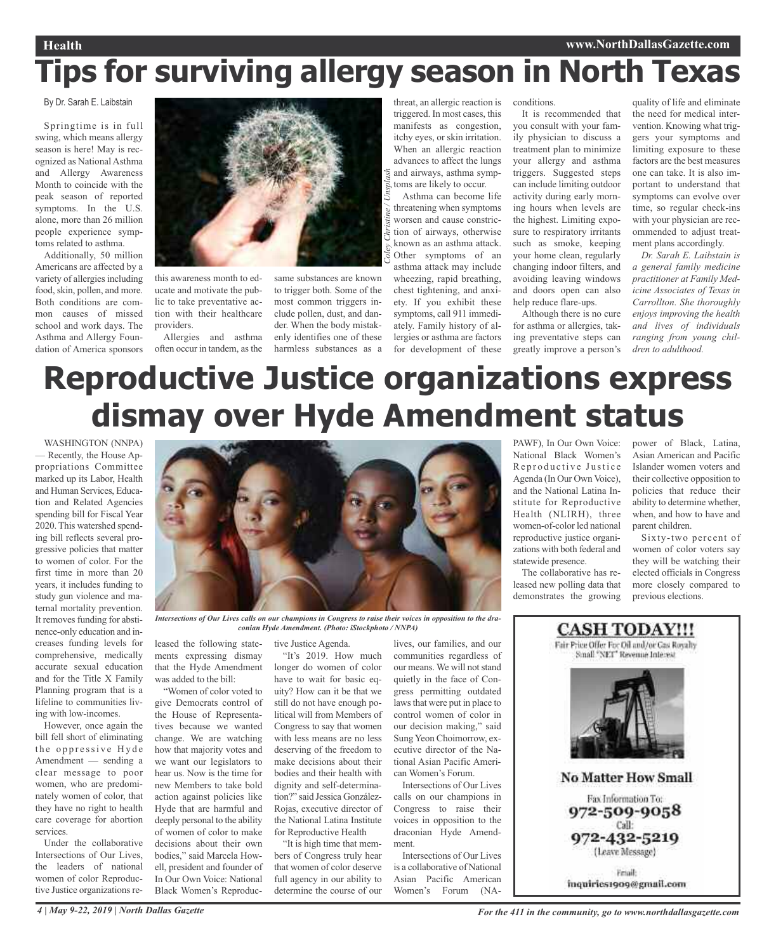# **Tips for surviving allergy season in North Texas**

## By Dr. Sarah E. Laibstain

Springtime is in full swing, which means allergy season is here! May is recognized as National Asthma and Allergy Awareness Month to coincide with the peak season of reported symptoms. In the U.S. alone, more than 26 million people experience symptoms related to asthma.

Additionally, 50 million Americans are affected by a variety of allergies including food, skin, pollen, and more. Both conditions are common causes of missed school and work days. The Asthma and Allergy Foundation of America sponsors



this awareness month to educate and motivate the public to take preventative action with their healthcare providers.

Allergies and asthma often occur in tandem, asthe

same substances are known to trigger both. Some of the most common triggers include pollen, dust, and dander. When the body mistakenly identifies one of these harmless substances as a

threat, an allergic reaction is triggered. In most cases, this manifests as congestion, itchy eyes, or skin irritation. When an allergic reaction advances to affect the lungs and airways, asthma symptoms are likely to occur.

Asthma can become life threatening when symptoms worsen and cause constriction of airways, otherwise known as an asthma attack. Other symptoms of an asthma attack may include

wheezing, rapid breathing, chest tightening, and anxiety. If you exhibit these symptoms, call 911 immediately. Family history of allergies or asthma are factors for development of these conditions.

It is recommended that you consult with your family physician to discuss a treatment plan to minimize your allergy and asthma triggers. Suggested steps can include limiting outdoor activity during early morning hours when levels are the highest. Limiting exposure to respiratory irritants such as smoke, keeping your home clean, regularly changing indoor filters, and avoiding leaving windows and doors open can also help reduce flare-ups.

Although there is no cure for asthma or allergies, taking preventative steps can greatly improve a person's

quality of life and eliminate the need for medical intervention. Knowing what triggers your symptoms and limiting exposure to these factors are the best measures one can take. It is also important to understand that symptoms can evolve over time, so regular check-ins with your physician are recommended to adjust treatment plans accordingly.

*Dr. Sarah E. Laibstain is a general family medicine practitioner at Family Medicine Associates of Texas in Carrollton. She thoroughly enjoys improving the health and lives of individuals ranging from young children to adulthood.*

# **Reproductive Justice organizations express dismay over Hyde Amendment status**

*Coley*

*Christine / Unsplash*

WASHINGTON (NNPA) — Recently, the House Appropriations Committee marked up its Labor, Health and Human Services, Education and Related Agencies spending bill for Fiscal Year 2020. This watershed spending bill reflects several progressive policies that matter to women of color. For the first time in more than 20 years, it includes funding to study gun violence and maternal mortality prevention. It removes funding for abstinence-only education and increases funding levels for comprehensive, medically accurate sexual education and for the Title X Family Planning program that is a lifeline to communities living with low-incomes.

However, once again the bill fell short of eliminating the oppressive Hyde Amendment — sending a clear message to poor women, who are predominately women of color, that they have no right to health care coverage for abortion services.

Under the collaborative Intersections of Our Lives, the leaders of national women of color Reproductive Justice organizations re-



Intersections of Our Lives calls on our champions in Congress to raise their voices in opposition to the dra*conian Hyde Amendment. (Photo: iStockphoto / NNPA)*

leased the following statements expressing dismay that the Hyde Amendment was added to the bill:

"Women of color voted to give Democrats control of the House of Representatives because we wanted change. We are watching how that majority votes and we want our legislators to hear us. Now is the time for new Members to take bold action against policies like Hyde that are harmful and deeply personal to the ability of women of color to make decisions about their own bodies," said Marcela Howell, president and founder of In Our Own Voice: National Black Women's Reproductive Justice Agenda.

"It's 2019. How much longer do women of color have to wait for basic equity? How can it be that we still do not have enough political will from Members of Congress to say that women with less means are no less deserving of the freedom to make decisions about their bodies and their health with dignity and self-determination?" said Jessica González-Rojas, executive director of the National Latina Institute for Reproductive Health

"It is high time that members of Congress truly hear that women of color deserve full agency in our ability to determine the course of our

lives, our families, and our communities regardless of our means. We will not stand quietly in the face of Congress permitting outdated laws that were put in place to control women of color in our decision making," said Sung Yeon Choimorrow, executive director of the National Asian Pacific American Women's Forum.

Intersections of Our Lives calls on our champions in Congress to raise their voices in opposition to the draconian Hyde Amendment.

Intersections of Our Lives is a collaborative of National Asian Pacific American Women's Forum (NA-

PAWF), In Our Own Voice: National Black Women's Reproductive Justice Agenda (In Our Own Voice), and the National Latina Institute for Reproductive Health (NLIRH), three women-of-color led national reproductive justice organizations with both federal and statewide presence.

The collaborative has released new polling data that demonstrates the growing power of Black, Latina, Asian American and Pacific Islander women voters and their collective opposition to policies that reduce their ability to determine whether, when, and how to have and parent children.

Sixty-two percent of women of color voters say they will be watching their elected officials in Congress more closely compared to previous elections.

## **CASH TODAY!!!** Fair Price Offer For Oil and/or Gas Royalty Small "NET" Revenue Interest **No Matter How Small** Fax Information To: 972-509-9058 Call: 972-432-5219 (Leave Message) Friail: inquiries1909@gmail.com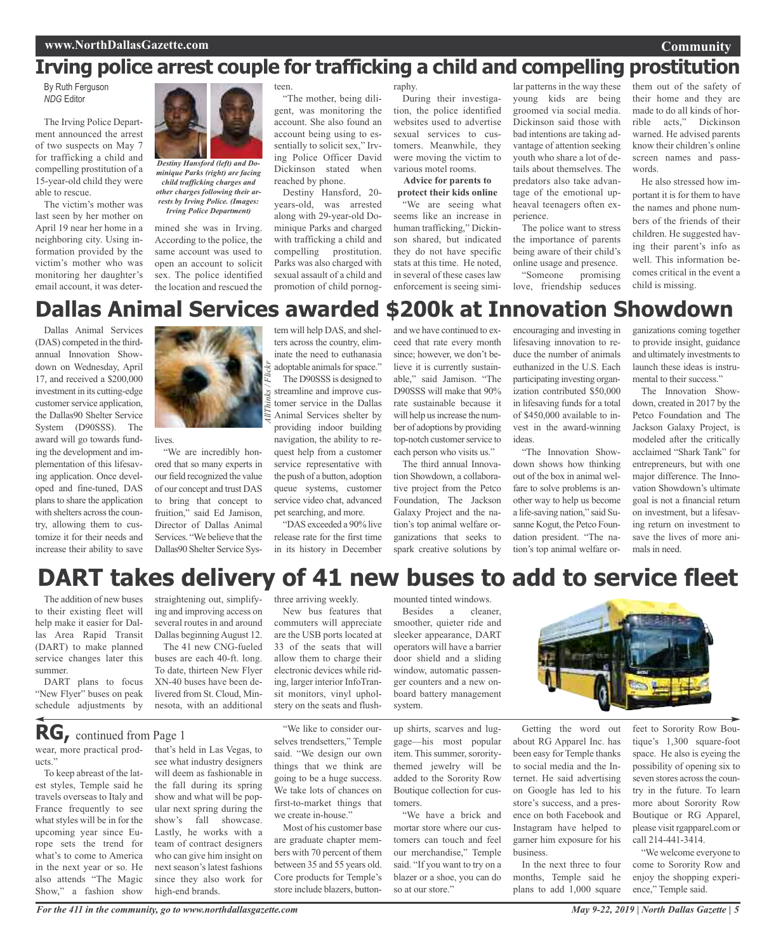## **Irving police arrest couple for trafficking a child and compelling prostitution**

By Ruth Ferguson *NDG* Editor

The Irving Police Department announced the arrest of two suspects on May 7 for trafficking a child and compelling prostitution of a 15-year-old child they were able to rescue.

The victim's mother was last seen by her mother on April 19 near her home in a neighboring city. Using information provided by the victim's mother who was monitoring her daughter's email account, it was deter-



*minique Parks (right) are facing child trafficking charges and other charges following their arrests by Irving Police. (Images: Irving Police Department)*

mined she was in Irving. According to the police, the same account was used to open an account to solicit sex. The police identified the location and rescued the teen.

"The mother, being diligent, was monitoring the account. She also found an account being using to essentially to solicit sex," Irving Police Officer David Dickinson stated when reached by phone.

Destiny Hansford, 20 years-old, was arrested along with 29-year-old Dominique Parks and charged with trafficking a child and compelling prostitution. Parks was also charged with sexual assault of a child and promotion of child pornography.

During their investigation, the police identified websites used to advertise sexual services to customers. Meanwhile, they were moving the victim to various motel rooms.

**Advice for parents to protect their kids online**

"We are seeing what seems like an increase in human trafficking," Dickinson shared, but indicated they do not have specific stats at this time. He noted, in several of these cases law enforcement is seeing similar patterns in the way these young kids are being groomed via social media. Dickinson said those with bad intentions are taking advantage of attention seeking youth who share a lot of details about themselves. The predators also take advantage of the emotional upheaval teenagers often experience.

The police want to stress the importance of parents being aware of their child's

online usage and presence. "Someone promising

love, friendship seduces

them out of the safety of their home and they are made to do all kinds of horrible acts," Dickinson warned. He advised parents know their children's online screen names and passwords.

**Community**

He also stressed how important it is for them to have the names and phone numbers of the friends of their children. He suggested having their parent's info as well. This information becomes critical in the event a child is missing.

## **Dallas Animal Services awarded \$200k at Innovation Showdown**

Dallas Animal Services (DAS) competed in the thirdannual Innovation Showdown on Wednesday, April 17, and received a \$200,000 investment in its cutting-edge customer service application, the Dallas90 Shelter Service System (D90SSS). The award will go towards funding the development and implementation of this lifesaving application. Once developed and fine-tuned, DAS plans to share the application with shelters across the country, allowing them to customize it for their needs and increase their ability to save



**lives** 

"We are incredibly honored that so many experts in our field recognized the value of our concept and trust DAS to bring that concept to fruition," said Ed Jamison, Director of Dallas Animal Services. "We believe that the Dallas90 Shelter Service System will help DAS, and shelters across the country, eliminate the need to euthanasia adoptable animals for space."

The D90SSS is designed to streamline and improve customer service in the Dallas Animal Services shelter by providing indoor building navigation, the ability to request help from a customer service representative with the push of a button, adoption queue systems, customer service video chat, advanced pet searching, and more.

"DAS exceeded a 90% live release rate for the first time in its history in December

and we have continued to exceed that rate every month since; however, we don't believe it is currently sustainable," said Jamison. "The D90SSS will make that 90% rate sustainable because it will help us increase the number of adoptions by providing top-notch customer service to each person who visits us."

The third annual Innovation Showdown, a collaborative project from the Petco Foundation, The Jackson Galaxy Project and the nation's top animal welfare organizations that seeks to spark creative solutions by

encouraging and investing in lifesaving innovation to reduce the number of animals euthanized in the U.S. Each participating investing organization contributed \$50,000 in lifesaving funds for a total of \$450,000 available to invest in the award-winning ideas.

"The Innovation Showdown shows how thinking out of the box in animal welfare to solve problems is another way to help us become a life-saving nation," said Susanne Kogut, the Petco Foundation president. "The nation's top animal welfare or-

ganizations coming together to provide insight, guidance and ultimately investments to launch these ideas is instrumental to their success."

The Innovation Showdown, created in 2017 by the Petco Foundation and The Jackson Galaxy Project, is modeled after the critically acclaimed "Shark Tank" for entrepreneurs, but with one major difference. The Innovation Showdown's ultimate goal is not a financial return on investment, but a lifesaving return on investment to save the lives of more animals in need.

## **DART takes delivery of 41 new buses to add to service fleet**

The addition of new buses to their existing fleet will help make it easier for Dallas Area Rapid Transit (DART) to make planned service changes later this summer.

DART plans to focus "New Flyer" buses on peak schedule adjustments by

wear, more practical prod-

**RG,** continued from Page <sup>1</sup>

To keep abreast of the latest styles, Temple said he travels overseas to Italy and France frequently to see what styles will be in for the upcoming year since Europe sets the trend for what's to come to America in the next year or so. He also attends "The Magic Show," a fashion show

ucts."

straightening out, simplifying and improving access on several routes in and around Dallas beginningAugust 12. The 41 new CNG-fueled

buses are each 40-ft. long. To date, thirteen New Flyer XN-40 buses have been delivered from St. Cloud, Minnesota, with an additional

that's held in Las Vegas, to see what industry designers will deem as fashionable in the fall during its spring show and what will be popular next spring during the show's fall showcase. Lastly, he works with a team of contract designers who can give him insight on next season's latest fashions since they also work for

three arriving weekly.

New bus features that commuters will appreciate are the USB ports located at 33 of the seats that will allow them to charge their electronic devices while riding, larger interior InfoTransit monitors, vinyl upholstery on the seats and flush-

"We like to consider ourselves trendsetters," Temple said. "We design our own things that we think are going to be a huge success. We take lots of chances on first-to-market things that

Most of his customer base are graduate chapter members with 70 percent of them between 35 and 55 years old. Core products for Temple's store include blazers, button-

we create in-house."

Besides a cleaner, smoother, quieter ride and sleeker appearance, DART operators will have a barrier door shield and a sliding window, automatic passenger counters and a new onboard battery management system.

up shirts, scarves and luggage—his most popular item. This summer, sororitythemed jewelry will be added to the Sorority Row Boutique collection for cus-

"We have a brick and mortar store where our customers can touch and feel our merchandise," Temple said. "If you want to try on a blazer or a shoe, you can do

tomers.

so at our store."

mounted tinted windows.



Getting the word out about RG Apparel Inc. has been easy for Temple thanks to social media and the Internet. He said advertising on Google has led to his store's success, and a presence on both Facebook and Instagram have helped to garner him exposure for his business.

In the next three to four months, Temple said he plans to add 1,000 square

feet to Sorority Row Boutique's 1,300 square-foot space. He also is eyeing the possibility of opening six to seven stores across the country in the future. To learn more about Sorority Row Boutique or RG Apparel, please visit rgapparel.com or call 214-441-3414.

"We welcome everyone to come to Sorority Row and enjoy the shopping experience," Temple said.

*For the 411 in the community, go to www.northdallasgazette.com*

high-end brands.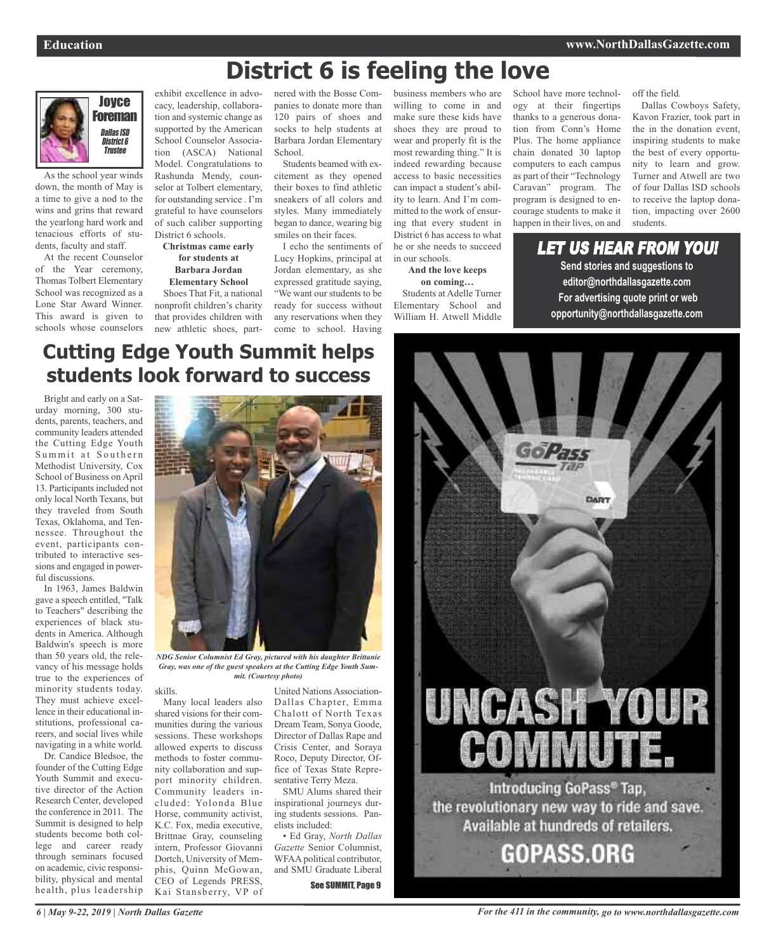

As the school year winds down, the month of May is a time to give a nod to the wins and grins that reward the yearlong hard work and tenacious efforts of students, faculty and staff.

At the recent Counselor of the Year ceremony, Thomas Tolbert Elementary School was recognized as a Lone Star Award Winner. This award is given to schools whose counselors

exhibit excellence in advocacy, leadership, collaboration and systemic change as supported by the American School Counselor Association (ASCA) National Model. Congratulations to Rashunda Mendy, counselor at Tolbert elementary, for outstanding service . I'm grateful to have counselors of such caliber supporting District 6 schools.

#### **Christmas came early for students at Barbara Jordan Elementary School**

Shoes That Fit, a national nonprofit children's charity that provides children with new athletic shoes, partnered with the Bosse Companies to donate more than 120 pairs of shoes and socks to help students at Barbara Jordan Elementary School.

**District 6 is feeling the love**

Students beamed with excitement as they opened their boxes to find athletic sneakers of all colors and styles. Many immediately began to dance, wearing big smiles on their faces.

I echo the sentiments of Lucy Hopkins, principal at Jordan elementary, as she expressed gratitude saying, "We want our students to be ready for success without any reservations when they come to school. Having

business members who are willing to come in and make sure these kids have shoes they are proud to wear and properly fit is the most rewarding thing." It is indeed rewarding because access to basic necessities can impact a student's ability to learn. And I'm committed to the work of ensuring that every student in District 6 has access to what he or she needs to succeed in our schools.

**And the love keeps on coming…** Students at Adelle Turner Elementary School and William H. Atwell Middle School have more technology at their fingertips thanks to a generous donation from Conn's Home Plus. The home appliance chain donated 30 laptop computers to each campus as part of their "Technology Caravan" program. The program is designed to encourage students to make it happen in their lives, on and

off the field.

Dallas Cowboys Safety, Kavon Frazier, took part in the in the donation event, inspiring students to make the best of every opportunity to learn and grow. Turner and Atwell are two of four Dallas ISD schools to receive the laptop donation, impacting over 2600 students.

LET US HEAR FROM YOU! **Send stories and suggestions to editor@northdallasgazette.com For advertising quote print or web opportunity@northdallasgazette.com**

## **Cutting Edge Youth Summit helps students look forward to success**

Bright and early on a Saturday morning, 300 students, parents, teachers, and community leaders attended the Cutting Edge Youth Summit at Southern Methodist University, Cox School of Business on April 13. Participants included not only local North Texans, but they traveled from South Texas, Oklahoma, and Tennessee. Throughout the event, participants contributed to interactive sessions and engaged in powerful discussions.

In 1963, James Baldwin gave a speech entitled, "Talk to Teachers" describing the experiences of black students in America. Although Baldwin's speech is more than 50 years old, the relevancy of his message holds true to the experiences of minority students today. They must achieve excellence in their educational institutions, professional careers, and social lives while navigating in a white world.

Dr. Candice Bledsoe, the founder of the Cutting Edge Youth Summit and executive director of the Action Research Center, developed the conference in 2011. The Summit is designed to help students become both college and career ready through seminars focused on academic, civic responsibility, physical and mental health, plus leadership



*NDG Senior Columnist Ed Gray, pictured with his daughter Brittanie Gray, was one of the guest speakers at the Cutting Edge Youth Summit. (Courtesy photo)*

skills.

Many local leaders also shared visions for their communities during the various sessions. These workshops allowed experts to discuss methods to foster community collaboration and support minority children. Community leaders included: Yolonda Blue Horse, community activist, K.C. Fox, media executive, Brittnae Gray, counseling intern, Professor Giovanni Dortch, University of Memphis, Quinn McGowan, CEO of Legends PRESS, Kai Stansberry, VP of

United NationsAssociation-Dallas Chapter, Emma Chalott of North Texas Dream Team, Sonya Goode, Director of Dallas Rape and Crisis Center, and Soraya Roco, Deputy Director, Office of Texas State Representative Terry Meza.

SMU Alums shared their inspirational journeys during students sessions. Panelists included:

• Ed Gray, *North Dallas Gazette* Senior Columnist, WFAA political contributor, and SMU Graduate Liberal See SUMMIT, Page 9



*For the 411 in the community, go to www.northdallasgazette.com*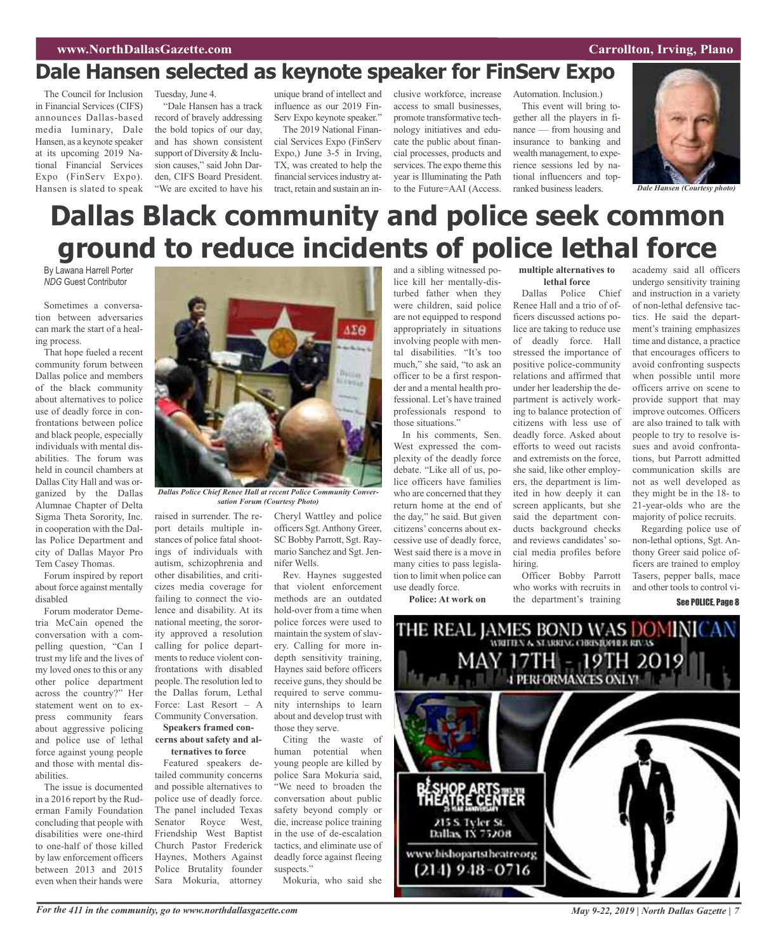## **Dale Hansen selected as keynote speaker for FinServ Expo**

The Council for Inclusion Tuesday, June 4. in Financial Services (CIFS) announces Dallas-based media luminary, Dale Hansen, as a keynote speaker at its upcoming 2019 National Financial Services Expo (FinServ Expo). Hansen is slated to speak

"Dale Hansen has a track record of bravely addressing the bold topics of our day, and has shown consistent support of Diversity & Inclusion causes," said John Darden, CIFS Board President. "We are excited to have his

unique brand of intellect and influence as our 2019 Fin-Serv Expo keynote speaker."

The 2019 National Financial Services Expo (FinServ Expo,) June 3-5 in Irving, TX, was created to help the financial services industry attract, retain and sustain an inclusive workforce, increase access to small businesses promote transformative technology initiatives and educate the public about financial processes, products and services. The expo theme this year is Illuminating the Path to the Future=AAI (Access.

Automation. Inclusion.) This event will bring together all the players in finance — from housing and insurance to banking and wealth management, to experience sessions led by national influencers and top-



ranked business leaders. *Dale Hansen (Courtesy photo)*

# **Dallas Black community and police seek common ground to reduce incidents of police lethal force**

By Lawana Harrell Porter *NDG* Guest Contributor

Sometimes a conversation between adversaries can mark the start of a healing process.

That hope fueled a recent community forum between Dallas police and members of the black community about alternatives to police use of deadly force in confrontations between police and black people, especially individuals with mental disabilities. The forum was held in council chambers at Dallas City Hall and was organized by the Dallas Alumnae Chapter of Delta Sigma Theta Sorority, Inc. in cooperation with the Dallas Police Department and city of Dallas Mayor Pro Tem Casey Thomas.

Forum inspired by report about force against mentally disabled

Forum moderator Demetria McCain opened the conversation with a compelling question, "Can I trust my life and the lives of my loved ones to this or any other police department across the country?" Her statement went on to express community fears about aggressive policing and police use of lethal force against young people and those with mental disabilities.

The issue is documented in a 2016 report by the Ruderman Family Foundation concluding that people with disabilities were one-third to one-half of those killed by law enforcement officers between 2013 and 2015 even when their hands were



*Dallas Police Chief Renee Hall at recent Police Community Conversation Forum (Courtesy Photo)*

raised in surrender. The report details multiple instances of police fatal shootings of individuals with autism, schizophrenia and other disabilities, and criticizes media coverage for failing to connect the violence and disability. At its national meeting, the sorority approved a resolution calling for police departments to reduce violent confrontations with disabled people. The resolution led to the Dallas forum, Lethal Force: Last Resort – A Community Conversation. **Speakers framed con-**

## **cerns about safety and al-**

**ternatives to force** Featured speakers detailed community concerns and possible alternatives to police use of deadly force. The panel included Texas Senator Royce West, Friendship West Baptist Church Pastor Frederick Haynes, Mothers Against Police Brutality founder Sara Mokuria, attorney

Cheryl Wattley and police officers Sgt. Anthony Greer, SC Bobby Parrott, Sgt. Raymario Sanchez and Sgt. Jennifer Wells.

Rev. Haynes suggested that violent enforcement methods are an outdated hold-over from a time when police forces were used to maintain the system of slavery. Calling for more indepth sensitivity training, Haynes said before officers receive guns, they should be required to serve community internships to learn about and develop trust with those they serve.

Citing the waste of human potential when young people are killed by police Sara Mokuria said, "We need to broaden the conversation about public safety beyond comply or die, increase police training in the use of de-escalation tactics, and eliminate use of deadly force against fleeing suspects."

Mokuria, who said she

and a sibling witnessed police kill her mentally-disturbed father when they were children, said police are not equipped to respond appropriately in situations involving people with mental disabilities. "It's too much," she said, "to ask an officer to be a first responder and a mental health professional. Let's have trained professionals respond to those situations."

In his comments, Sen. West expressed the complexity of the deadly force debate. "Like all of us, police officers have families who are concerned that they return home at the end of the day," he said. But given citizens' concerns about excessive use of deadly force, West said there is a move in many cities to pass legislation to limit when police can use deadly force.

**Police: At work on**

#### **multiple alternatives to lethal force**

Dallas Police Chief Renee Hall and a trio of officers discussed actions police are taking to reduce use of deadly force. Hall stressed the importance of positive police-community relations and affirmed that under her leadership the department is actively working to balance protection of citizens with less use of deadly force. Asked about efforts to weed out racists and extremists on the force, she said, like other employers, the department is limited in how deeply it can screen applicants, but she said the department conducts background checks and reviews candidates'social media profiles before hiring.

Officer Bobby Parrott who works with recruits in the department's training

academy said all officers undergo sensitivity training and instruction in a variety of non-lethal defensive tactics. He said the department's training emphasizes time and distance, a practice that encourages officers to avoid confronting suspects when possible until more officers arrive on scene to provide support that may improve outcomes. Officers are also trained to talk with people to try to resolve issues and avoid confrontations, but Parrott admitted communication skills are not as well developed as they might be in the 18- to 21-year-olds who are the majority of police recruits.

Regarding police use of non-lethal options, Sgt. Anthony Greer said police officers are trained to employ Tasers, pepper balls, mace and other tools to control vi-See POLICE, Page 8

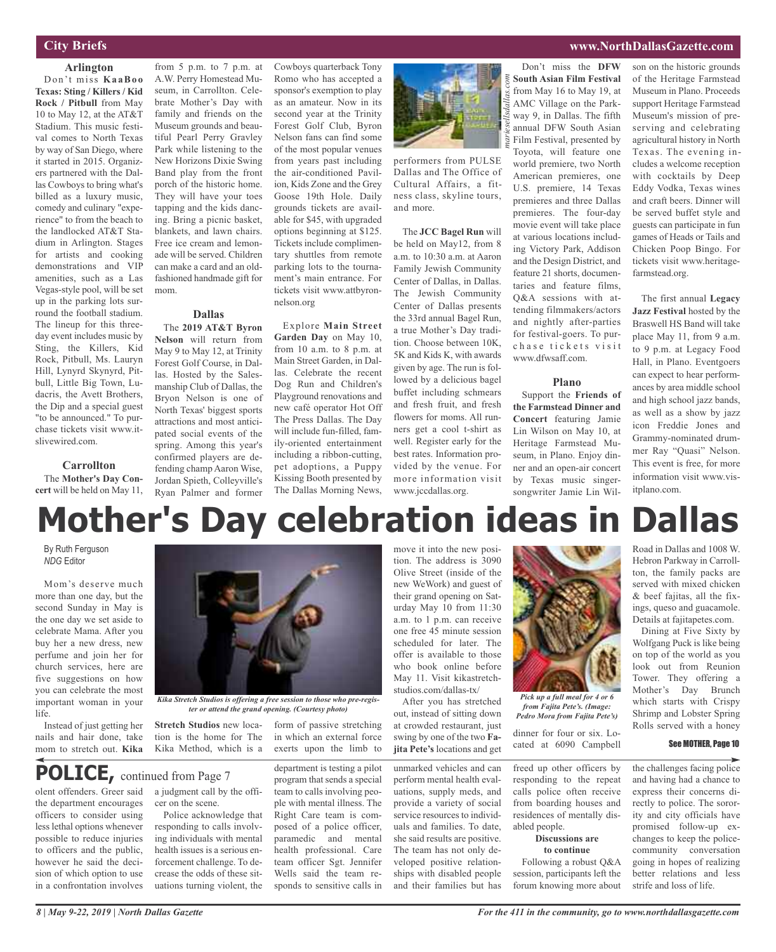## **City Briefs**

### **Arlington**

Don't miss **Ka aBoo Texas: Sting / Killers / Kid Rock / Pitbull** from May 10 to May 12, at the AT&T Stadium. This music festival comes to North Texas by way of San Diego, where it started in 2015. Organizers partnered with the Dallas Cowboys to bring what's billed as a luxury music, comedy and culinary "experience" to from the beach to the landlocked AT&T Stadium in Arlington. Stages for artists and cooking demonstrations and VIP amenities, such as a Las Vegas-style pool, will be set up in the parking lots surround the football stadium. The lineup for this threeday event includes music by Sting, the Killers, Kid Rock, Pitbull, Ms. Lauryn Hill, Lynyrd Skynyrd, Pitbull, Little Big Town, Ludacris, the Avett Brothers, the Dip and a special guest "to be announced." To purchase tickets visit www.itslivewired.com.

#### **Carrollton**

The **Mother's Day Concert** will be held on May 11,

from  $5$  p.m. to  $7$  p.m. at A.W. Perry Homestead Museum, in Carrollton. Celebrate Mother's Day with family and friends on the Museum grounds and beautiful Pearl Perry Gravley Park while listening to the New Horizons Dixie Swing Band play from the front porch of the historic home. They will have your toes tapping and the kids dancing. Bring a picnic basket, blankets, and lawn chairs. Free ice cream and lemonade will be served. Children can make a card and an oldfashioned handmade gift for mom.

#### **Dallas**

The **2019 AT&T Byron Nelson** will return from May 9 to May 12, at Trinity Forest Golf Course, in Dallas. Hosted by the Salesmanship Club of Dallas, the Bryon Nelson is one of North Texas' biggest sports attractions and most anticipated social events of the spring. Among this year's confirmed players are defending champ Aaron Wise, Jordan Spieth, Colleyville's Ryan Palmer and former

Cowboys quarterback Tony Romo who has accepted a sponsor's exemption to play as an amateur. Now in its second year at the Trinity Forest Golf Club, Byron Nelson fans can find some of the most popular venues from years past including the air-conditioned Pavilion, Kids Zone and the Grey Goose 19th Hole. Daily grounds tickets are available for \$45, with upgraded options beginning at \$125. Tickets include complimentary shuttles from remote parking lots to the tournament's main entrance. For tickets visit www.attbyronnelson.org

Explore **Main Street Garden Day** on May 10, from 10 a.m. to 8 p.m. at Main Street Garden, in Dallas. Celebrate the recent Dog Run and Children's Playground renovations and new café operator Hot Off The Press Dallas. The Day will include fun-filled, family-oriented entertainment including a ribbon-cutting, pet adoptions, a Puppy Kissing Booth presented by The Dallas Morning News,



performers from PULSE Dallas and The Office of Cultural Affairs, a fitness class, skyline tours, and more.

The **JCC Bagel Run** will be held on May12, from 8 a.m. to 10:30 a.m. at Aaron Family Jewish Community Center of Dallas, in Dallas. The Jewish Community Center of Dallas presents the 33rd annual Bagel Run, a true Mother's Day tradition. Choose between 10K, 5K and Kids K, with awards given by age. The run is followed by a delicious bagel buffet including schmears and fresh fruit, and fresh flowers for moms. All runners get a cool t-shirt as well. Register early for the best rates. Information provided by the venue. For more information visit www.jccdallas.org.

### **www.NorthDallasGazette.com**

Don't miss the **DFW South Asian Film Festival** from May 16 to May 19, at AMC Village on the Parkway 9, in Dallas. The fifth annual DFW South Asian Film Festival, presented by Toyota, will feature one world premiere, two North American premieres, one U.S. premiere, 14 Texas premieres and three Dallas premieres. The four-day movie event will take place at various locations including Victory Park, Addison and the Design District, and feature 21 shorts, documentaries and feature films, Q&A sessions with attending filmmakers/actors and nightly after-parties for festival-goers. To purchase tickets visit

son on the historic grounds of the Heritage Farmstead Museum in Plano. Proceeds support Heritage Farmstead Museum's mission of preserving and celebrating agricultural history in North Texas. The evening includes a welcome reception with cocktails by Deep Eddy Vodka, Texas wines and craft beers. Dinner will be served buffet style and guests can participate in fun games of Heads or Tails and Chicken Poop Bingo. For tickets visit www.heritagefarmstead.org.

The first annual **Legacy Jazz Festival** hosted by the Braswell HS Band will take place May 11, from 9 a.m. to 9 p.m. at Legacy Food Hall, in Plano. Eventgoers can expect to hear performances by area middle school and high school jazz bands, as well as a show by jazz icon Freddie Jones and Grammy-nominated drummer Ray "Quasi" Nelson. This event is free, for more information visit www.visitplano.com.

# **Mother's Day celebration ideas in Dallas**

By Ruth Ferguson *NDG* Editor

Mom's deserve much more than one day, but the second Sunday in May is the one day we set aside to celebrate Mama. After you buy her a new dress, new perfume and join her for church services, here are five suggestions on how you can celebrate the most important woman in your life.

Instead of just getting her nails and hair done, take mom to stretch out. **Kika**

## **POLICE,** continued from Page <sup>7</sup>

olent offenders. Greer said the department encourages officers to consider using less lethal options whenever possible to reduce injuries to officers and the public, however he said the decision of which option to use in a confrontation involves

*Kika Stretch Studios is offering a free session to those who pre-regis-*

*ter or attend the grand opening. (Courtesy photo)*

**Stretch Studios** new location is the home for The Kika Method, which is a

a judgment call by the offi-

Police acknowledge that responding to calls involving individuals with mental health issues is a serious enforcement challenge. To decrease the odds of these situations turning violent, the

cer on the scene.

form of passive stretching in which an external force exerts upon the limb to

department is testing a pilot program that sends a special team to calls involving people with mental illness. The Right Care team is composed of a police officer, paramedic and mental health professional. Care team officer Sgt. Jennifer Wells said the team responds to sensitive calls in

move it into the new position. The address is 3090 Olive Street (inside of the new WeWork) and guest of their grand opening on Saturday May 10 from 11:30 a.m. to 1 p.m. can receive one free 45 minute session scheduled for later. The offer is available to those who book online before May 11. Visit kikastretchstudios.com/dallas-tx/

After you has stretched out, instead of sitting down at crowded restaurant, just swing by one of the two **Fajita Pete's** locations and get

unmarked vehicles and can perform mental health evaluations, supply meds, and provide a variety of social service resources to individuals and families. To date, she said results are positive. The team has not only developed positive relationships with disabled people and their families but has



www.dfwsaff.com.

**Plano** Support the **Friends of the Farmstead Dinner and Concert** featuring Jamie Lin Wilson on May 10, at Heritage Farmstead Museum, in Plano. Enjoy dinner and an open-air concert by Texas music singersongwriter Jamie Lin Wil-

*from Fajita Pete's. (Image: Pedro Mora from Fajita Pete's)*

dinner for four or six. Located at 6090 Campbell

freed up other officers by responding to the repeat calls police often receive from boarding houses and residences of mentally disabled people.

#### **Discussions are to continue**

Following a robust Q&A session, participants left the forum knowing more about

Road in Dallas and 1008 W. Hebron Parkway in Carrollton, the family packs are served with mixed chicken & beef fajitas, all the fixings, queso and guacamole. Details at fajitapetes.com.

Dining at Five Sixty by Wolfgang Puck is like being on top of the world as you look out from Reunion Tower. They offering a Mother's Day Brunch which starts with Crispy Shrimp and Lobster Spring Rolls served with a honey

#### See MOTHER, Page 10

the challenges facing police and having had a chance to express their concerns directly to police. The sorority and city officials have promised follow-up exchanges to keep the policecommunity conversation going in hopes of realizing better relations and less strife and loss of life.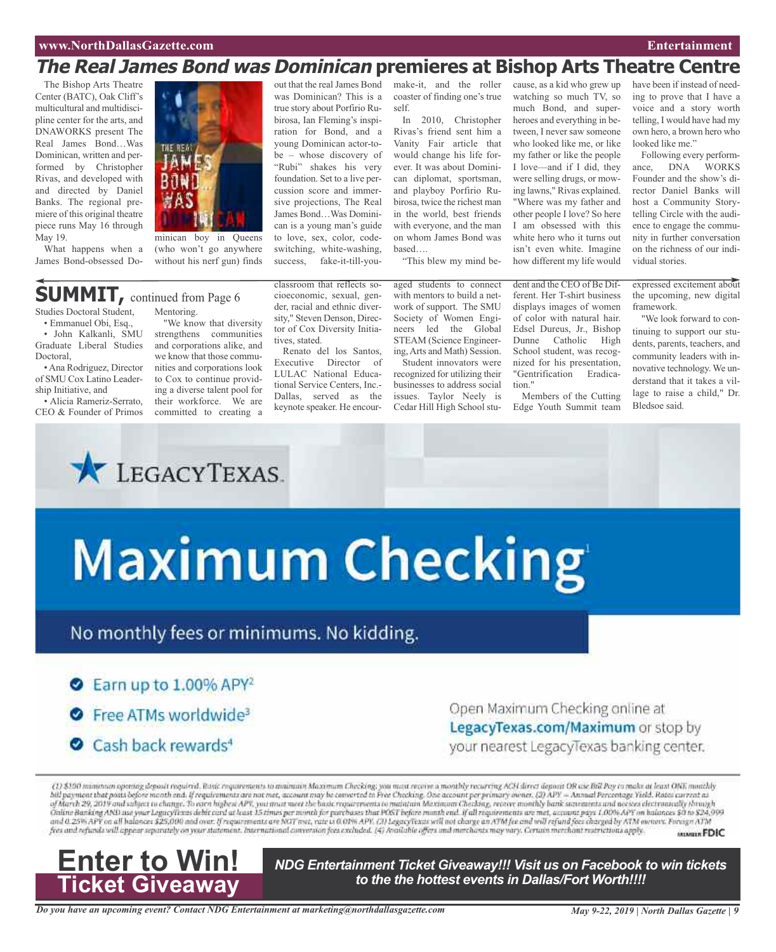## **www.NorthDallasGazette.com Entertainment**

## **The Real James Bond was Dominican premieres at Bishop Arts Theatre Centre**

The Bishop Arts Theatre Center (BATC), Oak Cliff's multicultural and multidiscipline center for the arts, and DNAWORKS present The Real James Bond…Was Dominican, written and performed by Christopher Rivas, and developed with and directed by Daniel Banks. The regional premiere of this original theatre piece runs May 16 through May 19.

What happens when a James Bond-obsessed Do-



minican boy in Queens (who won't go anywhere without his nerf gun) finds

## **SUMMIT,** continued from Page <sup>6</sup>

Studies Doctoral Student, • Emmanuel Obi, Esq.,

• John Kalkanli, SMU Graduate Liberal Studies Doctoral,

•Ana Rodriguez, Director of SMU Cox Latino Leadership Initiative, and

• Alicia Rameriz-Serrato, CEO & Founder of Primos

Mentoring. "We know that diversity strengthens communities and corporations alike, and we know that those communities and corporations look to Cox to continue providing a diverse talent pool for their workforce. We are

committed to creating a

LEGACYTEXAS.

classroom that reflects socioeconomic, sexual, gender, racial and ethnic diversity," Steven Denson, Director of Cox Diversity Initiatives, stated.

out that the real James Bond was Dominican? This is a true story about Porfirio Rubirosa, Ian Fleming's inspiration for Bond, and a young Dominican actor-tobe – whose discovery of "Rubi" shakes his very foundation. Set to a live percussion score and immersive projections, The Real James Bond…Was Dominican is a young man's guide to love, sex, color, codeswitching, white-washing, success, fake-it-till-you-

Renato del los Santos, Executive Director of LULAC National Educational Service Centers, Inc.- Dallas, served as the keynote speaker. He encourmake-it, and the roller coaster of finding one's true self.

In 2010, Christopher Rivas's friend sent him a Vanity Fair article that would change his life forever. It was about Dominican diplomat, sportsman, and playboy Porfirio Rubirosa, twice the richest man in the world, best friends with everyone, and the man on whom James Bond was based….

"This blew my mind be-

aged students to connect with mentors to build a network of support. The SMU Society of Women Engineers led the Global STEAM (Science Engineering,Arts and Math) Session. Student innovators were recognized for utilizing their

businesses to address social issues. Taylor Neely is Cedar Hill High School stution."

watching so much TV, so much Bond, and superheroes and everything in between, I never saw someone who looked like me, or like my father or like the people I love—and if I did, they were selling drugs, or mowing lawns," Rivas explained. "Where was my father and other people I love? So here I am obsessed with this white hero who it turns out isn't even white. Imagine how different my life would

cause, as a kid who grew up

dent and the CEO of Be Different. Her T-shirt business displays images of women of color with natural hair. Edsel Dureus, Jr., Bishop Dunne Catholic High School student, was recognized for his presentation, "Gentrification Eradica-

Members of the Cutting Edge Youth Summit team have been if instead of needing to prove that I have a voice and a story worth telling, I would have had my own hero, a brown hero who looked like me."

Following every performance, DNA WORKS Founder and the show's director Daniel Banks will host a Community Storytelling Circle with the audience to engage the community in further conversation on the richness of our individual stories.

expressed excitement about the upcoming, new digital framework.

"We look forward to continuing to support our students, parents, teachers, and community leaders with innovative technology. We understand that it takes a village to raise a child," Dr. Bledsoe said.

# Maximum Checking

## No monthly fees or minimums. No kidding.

## $\bullet$  Earn up to 1.00% APY<sup>2</sup>

- Free ATMs worldwide<sup>3</sup>
- Cash back rewards<sup>4</sup>

Open Maximum Checking online at LegacyTexas.com/Maximum or stop by your nearest LegacyTexas banking center.

(1) \$190 minimum opening deposit required. Bank requirements to maintain Maximum Checking; you mant receive a monthly recurring ACH direct deposit OR use Bill Pay in make at least ONE monthly bill payment that posts before month end. If requirements are not met, account may be converted in Free Checking. One account per primary owner, (3) APY = Annual Percentage Yeeld. Rates current as<br>of March 29, 2019 and sub Online Banking AND ase your LegacyTexas debit card at least 15 times per month for parchases that POST before month end. if all requirements are met, account pays 1,00% APY on balances \$0 to \$24,999. and 0.25% APY on all balances \$25,000 and over. If requirements are NGT met, rate is 0.01% APY. (3) LegacyTexas will not charge an ATM fee and will refund foes charged by ATM owners. Foreign ATM<br>free and refunds will appea MINUIR FDIC



*NDG Entertainment Ticket Giveaway!!! Visit us on Facebook to win tickets to the the hottest events in Dallas/Fort Worth!!!!*

*Do you have an upcoming event? Contact NDG Entertainment at marketing@northdallasgazette.com*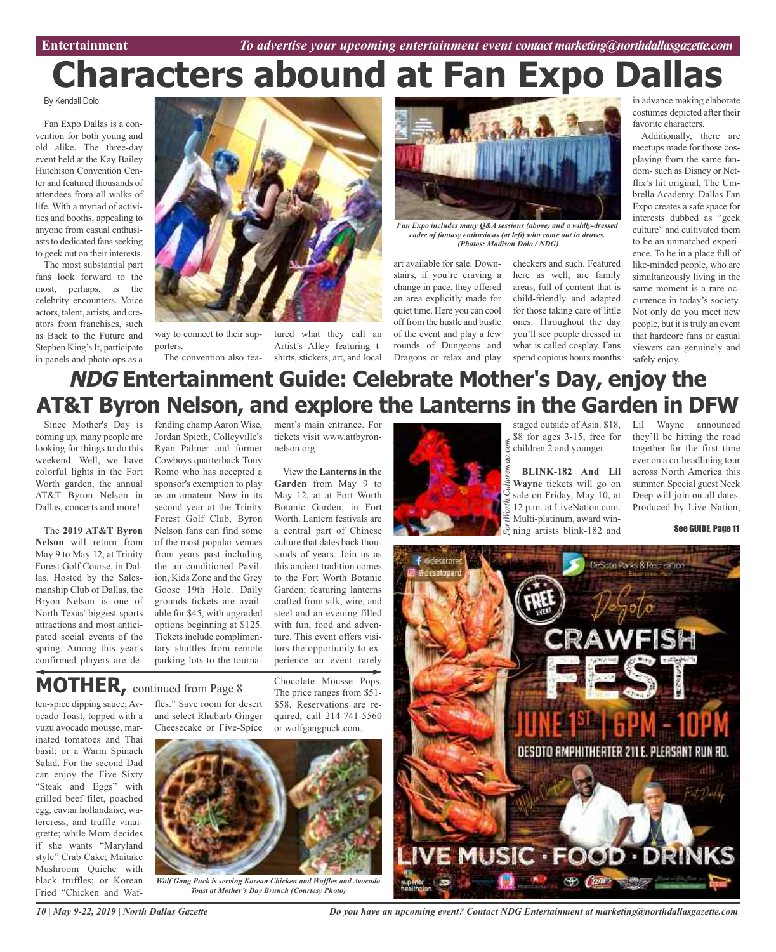# **Characters abound at Fan Expo Dallas**

By Kendall Dolo

Fan Expo Dallas is a convention for both young and old alike. The three-day event held at the Kay Bailey Hutchison Convention Center and featured thousands of attendees from all walks of life. With a myriad of activities and booths, appealing to anyone from casual enthusiasts to dedicated fans seeking to geek out on their interests.

The most substantial part fans look forward to the most, perhaps, is the celebrity encounters. Voice actors, talent, artists, and creators from franchises, such as Back to the Future and Stephen King's It, participate in panels and photo ops as a



way to connect to their supporters.

The convention also fea-shirts, stickers, art, and local tured what they call an Artist's Alley featuring t-



*Fan Expo includes many Q&A sessions (above) and a wildly-dressed cadre of fantasy enthusiasts (at left) who come out in droves. (Photos: Madison Dolo / NDG)*

art available for sale. Downstairs, if you're craving a change in pace, they offered an area explicitly made for quiet time. Here you can cool off from the hustle and bustle of the event and play a few rounds of Dungeons and Dragons or relax and play

checkers and such. Featured here as well, are family areas, full of content that is child-friendly and adapted for those taking care of little ones. Throughout the day you'll see people dressed in what is called cosplay. Fans spend copious hours months

in advance making elaborate costumes depicted after their favorite characters.

Additionally, there are meetups made for those cosplaying from the same fandom- such as Disney or Netflix's hit original, The Umbrella Academy. Dallas Fan Expo creates a safe space for interests dubbed as "geek culture" and cultivated them to be an unmatched experience. To be in a place full of like-minded people, who are simultaneously living in the same moment is a rare occurrence in today's society. Not only do you meet new people, but it is truly an event that hardcore fans or casual viewers can genuinely and safely enjoy.

# **NDG Entertainment Guide: Celebrate Mother's Day, enjoy the AT&T Byron Nelson, and explore the Lanterns in the Garden in DFW**

Since Mother's Day is fending champ Aaron Wise, coming up, many people are looking for things to do this weekend. Well, we have colorful lights in the Fort Worth garden, the annual AT&T Byron Nelson in Dallas, concerts and more!

The **2019 AT&T Byron Nelson** will return from May 9 to May 12, at Trinity Forest Golf Course, in Dallas. Hosted by the Salesmanship Club of Dallas, the Bryon Nelson is one of North Texas' biggest sports attractions and most anticipated social events of the spring. Among this year's confirmed players are deJordan Spieth, Colleyville's Ryan Palmer and former Cowboys quarterback Tony Romo who has accepted a sponsor's exemption to play as an amateur. Now in its second year at the Trinity Forest Golf Club, Byron Nelson fans can find some of the most popular venues from years past including the air-conditioned Pavilion, Kids Zone and the Grey Goose 19th Hole. Daily grounds tickets are available for \$45, with upgraded options beginning at \$125. Tickets include complimentary shuttles from remote parking lots to the tournament's main entrance. For tickets visit www.attbyronnelson.org

View the **Lanterns in the Garden** from May 9 to May 12, at at Fort Worth Botanic Garden, in Fort Worth. Lantern festivals are a central part of Chinese culture that dates back thousands of years. Join us as this ancient tradition comes to the Fort Worth Botanic Garden; featuring lanterns crafted from silk, wire, and steel and an evening filled with fun, food and adventure. This event offers visitors the opportunity to experience an event rarely

Chocolate Mousse Pops. The price ranges from \$51- \$58. Reservations are required, call 214-741-5560



staged outside of Asia. \$18, Lil Wayne announced \$8 for ages 3-15, free for children 2 and younger

**BLINK-182 And Lil Wayne** tickets will go on sale on Friday, May 10, at 12 p.m. at LiveNation.com. Multi-platinum, award winning artists blink-182 and

they'll be hitting the road together for the first time ever on a co-headlining tour across North America this summer. Special guest Neck Deep will join on all dates. Produced by Live Nation,

See GUIDE, Page 11

**Gdesotore** DeSata Raiss & Receiving DESDTO RMPHITHEATER FOOD DRI Go Canes

# **MOTHER,** continued from Page <sup>8</sup>

ten-spice dipping sauce; Avocado Toast, topped with a yuzu avocado mousse, marinated tomatoes and Thai basil; or a Warm Spinach Salad. For the second Dad can enjoy the Five Sixty "Steak and Eggs" with grilled beef filet, poached egg, caviar hollandaise, watercress, and truffle vinaigrette; while Mom decides if she wants "Maryland style" Crab Cake; Maitake Mushroom Quiche with black truffles; or Korean Fried "Chicken and Waf-

fles." Save room for desert and select Rhubarb-Ginger Cheesecake or Five-Spice

or wolfgangpuck.com. *Wolf Gang Puck is serving Korean Chicken and Waffles and Avocado*

*Toast at Mother's Day Brunch (Courtesy Photo)*

*10 | May 9-22, 2019 | North Dallas Gazette*

*Do you have an upcoming event? Contact NDG Entertainment at marketing@northdallasgazette.com*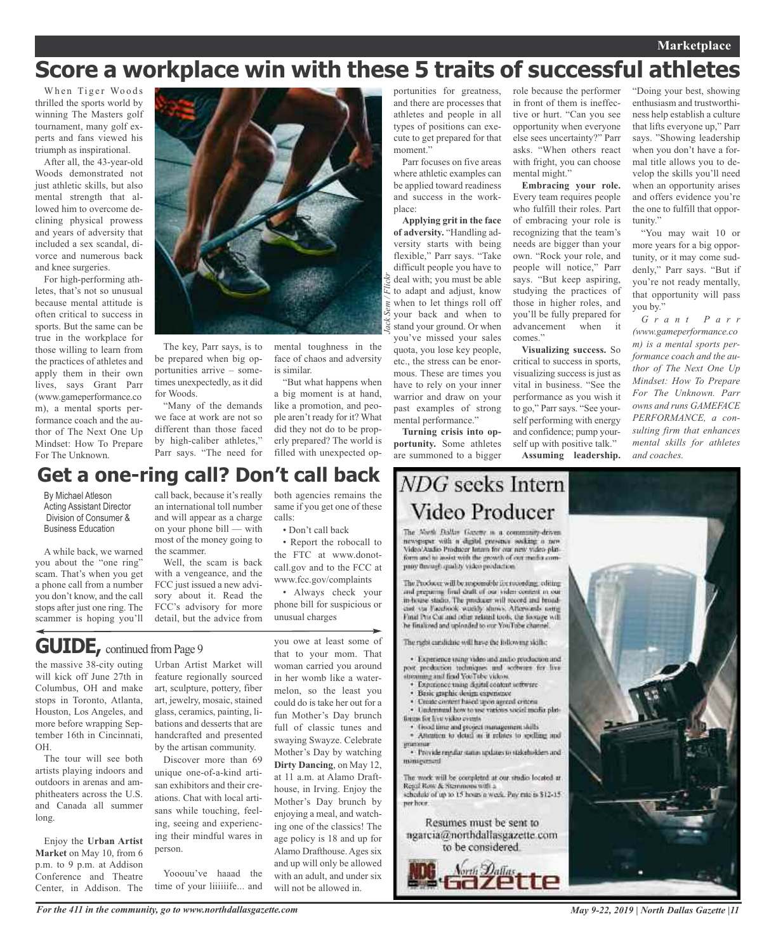## **Marketplace**

# **Score a workplace win with these 5 traits of successful athletes**

When Tiger Woods thrilled the sports world by winning The Masters golf tournament, many golf experts and fans viewed his triumph as inspirational.

After all, the 43-year-old Woods demonstrated not just athletic skills, but also mental strength that allowed him to overcome declining physical prowess and years of adversity that included a sex scandal, divorce and numerous back and knee surgeries.

For high-performing athletes, that's not so unusual because mental attitude is often critical to success in sports. But the same can be true in the workplace for those willing to learn from the practices of athletes and apply them in their own lives, says Grant Parr (www.gameperformance.co m), a mental sports performance coach and the author of The Next One Up Mindset: How To Prepare For The Unknown.



The key, Parr says, is to be prepared when big opportunities arrive – sometimes unexpectedly, as it did for Woods.

"Many of the demands we face at work are not so different than those faced by high-caliber athletes," Parr says. "The need for

#### face of chaos and adversity is similar. "But what happens when

a big moment is at hand, like a promotion, and people aren't ready for it? What did they not do to be properly prepared? The world is filled with unexpected op-

## **Get a one-ring call? Don't call back**

By Michael Atleson Acting Assistant Director Division of Consumer & Business Education

A while back, we warned you about the "one ring" scam. That's when you get a phone call from a number you don't know, and the call stops after just one ring. The scammer is hoping you'll

call back, because it's really an international toll number and will appear as a charge on your phone bill — with most of the money going to the scammer.

Well, the scam is back with a vengeance, and the FCC just issued a new advisory about it. Read the FCC's advisory for more detail, but the advice from

both agencies remains the same if you get one of these calls:

• Don't call back

• Report the robocall to the FTC at www.donotcall.gov and to the FCC at www.fcc.gov/complaints

• Always check your phone bill for suspicious or unusual charges

you owe at least some of

**GUIDE**, continued from Page 9

the massive 38-city outing will kick off June 27th in Columbus, OH and make stops in Toronto, Atlanta, Houston, Los Angeles, and more before wrapping September 16th in Cincinnati, OH.

The tour will see both artists playing indoors and outdoors in arenas and amphitheaters across the U.S. and Canada all summer long.

Enjoy the **Urban Artist Market** on May 10, from 6 p.m. to 9 p.m. at Addison Conference and Theatre Center, in Addison. The

Urban Artist Market will feature regionally sourced art, sculpture, pottery, fiber art, jewelry, mosaic, stained glass, ceramics, painting, libations and desserts that are handcrafted and presented by the artisan community.

Discover more than 69 unique one-of-a-kind artisan exhibitors and their creations. Chat with local artisans while touching, feeling, seeing and experiencing their mindful wares in person.

Yooouu've haaad the time of your liiiiiife... and that to your mom. That woman carried you around in her womb like a watermelon, so the least you could do is take her out for a fun Mother's Day brunch full of classic tunes and swaying Swayze. Celebrate Mother's Day by watching **Dirty Dancing**, on May 12, at 11 a.m. at Alamo Drafthouse, in Irving. Enjoy the Mother's Day brunch by enjoying a meal, and watching one of the classics! The age policy is 18 and up for Alamo Drafthouse. Ages six and up will only be allowed with an adult, and under six will not be allowed in.

portunities for greatness, and there are processes that athletes and people in all types of positions can execute to get prepared for that moment."

Parr focuses on five areas where athletic examples can be applied toward readiness and success in the workplace:

mental might."

comes."

of embracing your role is recognizing that the team's needs are bigger than your own. "Rock your role, and people will notice," Parr says. "But keep aspiring, studying the practices of those in higher roles, and you'll be fully prepared for advancement when it

**Visualizing success.** So critical to success in sports, visualizing success is just as vital in business. "See the performance as you wish it to go," Parr says. "See yourself performing with energy and confidence; pump yourself up with positive talk." **Assuming leadership.**

**Applying grit in the face of adversity.** "Handling adversity starts with being flexible," Parr says. "Take difficult people you have to deal with; you must be able to adapt and adjust, know when to let things roll off your back and when to stand your ground. Or when you've missed your sales quota, you lose key people, etc., the stress can be enormous. These are times you have to rely on your inner warrior and draw on your past examples of strong mental performance."

**Turning crisis into opportunity.** Some athletes are summoned to a bigger

## NDG seeks Intern Video Producer

The North Dallas Gazette is a community-driven newspaper with a digital presence socking a new form and it assist with the growth of out media company through quality video production.

The Producer will be responsible for recording, editing and preparing final draft of our video content in our<br>in-house studio. The producer will record and broadand the Facultical washly shows. Afterwards with Final Pro Cor and other related tools, the horize will he finalized and uploaded to our YouTube channel.

The rabi cardidate will have the following skiller

· Experience using video and and/o production and post production industgues and software for live<br>streaming and final YouTube videos.

- · Experience using digital content settware
- Basic graphic desirts expensesse Create circlent haved upon agreed criteria
- · Understand how to use various social media plat-
- forces for live video events.
- froad time and project management shills · Attention to detail as it relates to spelling and

· Provide regular status updates to stakeholders and

minarument

The work will be completed at our studio located at Regal Row & Stemmons with a<br>schedule of up to 15 hours a week. Pay rate is \$12-15 per hoor.

Resumes must be sent to ngarcia@northdallasgazette.com to be considered.



role because the performer in front of them is ineffective or hurt. "Can you see opportunity when everyone else sees uncertainty?" Parr asks. "When others react with fright, you can choose **Embracing your role.** Every team requires people who fulfill their roles. Part "Doing your best, showing enthusiasm and trustworthiness help establish a culture that lifts everyone up," Parr says. "Showing leadership when you don't have a formal title allows you to develop the skills you'll need when an opportunity arises and offers evidence you're the one to fulfill that oppor-

> tunity." "You may wait 10 or more years for a big opportunity, or it may come suddenly," Parr says. "But if you're not ready mentally, that opportunity will pass you by."

> *G r a n t P a r r (www.gameperformance.co m) is a mental sports performance coach and the author of The Next One Up Mindset: How To Prepare For The Unknown. Parr owns and runs GAMEFACE PERFORMANCE, a consulting firm that enhances mental skills for athletes and coaches.*



*For the 411 in the community, go to www.northdallasgazette.com*

*May 9-22, 2019 | North Dallas Gazette |11*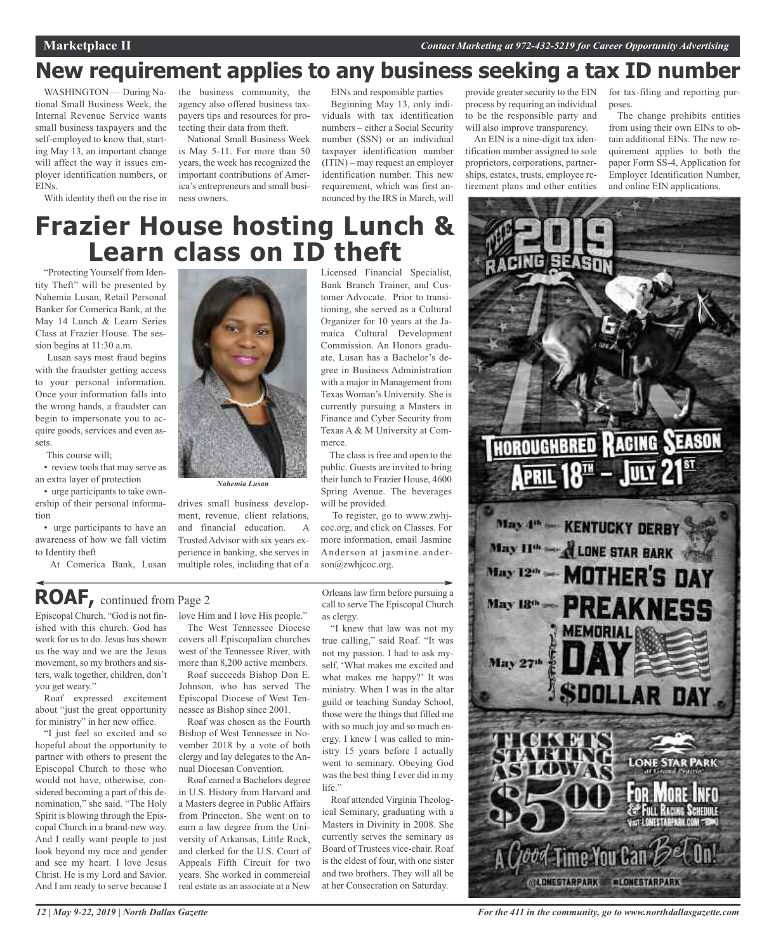# **New requirement applies to any business seeking a tax ID number**

WASHINGTON — During National Small Business Week, the Internal Revenue Service wants small business taxpayers and the self-employed to know that, starting May 13, an important change will affect the way it issues employer identification numbers, or EINs.

the business community, the agency also offered business taxpayers tips and resources for protecting their data from theft.

With identity theft on the rise in ness owners. National Small Business Week is May 5-11. For more than 50 years, the week has recognized the important contributions of America's entrepreneurs and small busiEINs and responsible parties

Beginning May 13, only individuals with tax identification numbers – either a Social Security number (SSN) or an individual taxpayer identification number (ITIN) – may request an employer identification number. This new requirement, which was first announced by the IRS in March, will

provide greater security to the EIN process by requiring an individual to be the responsible party and will also improve transparency.

An EIN is a nine-digit tax identification number assigned to sole proprietors, corporations, partnerships, estates, trusts, employee retirement plans and other entities for tax-filing and reporting purposes.

The change prohibits entities from using their own EINs to obtain additional EINs. The new requirement applies to both the paper Form SS-4, Application for Employer Identification Number, and online EIN applications.

## **Frazier House hosting Lunch & Learn class on ID theft** Licensed Financial Specialist,

"Protecting Yourself from Identity Theft" will be presented by Nahemia Lusan, Retail Personal Banker for Comerica Bank, at the May 14 Lunch & Learn Series Class at Frazier House. The session begins at 11:30 a.m.

Lusan says most fraud begins with the fraudster getting access to your personal information. Once your information falls into the wrong hands, a fraudster can begin to impersonate you to acquire goods, services and even assets.

This course will;

• review tools that may serve as an extra layer of protection

• urge participants to take ownership of their personal information

• urge participants to have an awareness of how we fall victim to Identity theft

At Comerica Bank, Lusan



drives small business development, revenue, client relations, and financial education. A Trusted Advisor with six years experience in banking, she serves in multiple roles, including that of a Bank Branch Trainer, and Customer Advocate. Prior to transitioning, she served as a Cultural Organizer for 10 years at the Jamaica Cultural Development Commission. An Honors graduate, Lusan has a Bachelor's degree in Business Administration with a major in Management from Texas Woman's University. She is currently pursuing a Masters in Finance and Cyber Security from Texas A & M University at Commerce.

The class is free and open to the public. Guests are invited to bring their lunch to Frazier House, 4600 Spring Avenue. The beverages will be provided.

To register, go to www.zwhjcoc.org, and click on Classes. For more information, email Jasmine Anderson at jasmine.anderson@zwhjcoc.org.

## **ROAF,** continued from Page <sup>2</sup>

Episcopal Church. "God is not finished with this church. God has work for us to do. Jesus has shown us the way and we are the Jesus movement, so my brothers and sisters, walk together, children, don't you get weary."

Roaf expressed excitement about "just the great opportunity for ministry" in her new office.

"I just feel so excited and so hopeful about the opportunity to partner with others to present the Episcopal Church to those who would not have, otherwise, considered becoming a part of this denomination," she said. "The Holy Spirit is blowing through the Episcopal Church in a brand-new way. And I really want people to just look beyond my race and gender and see my heart. I love Jesus Christ. He is my Lord and Savior. And I am ready to serve because I love Him and I love His people."

The West Tennessee Diocese covers all Episcopalian churches west of the Tennessee River, with more than 8,200 active members.

Roaf succeeds Bishop Don E. Johnson, who has served The Episcopal Diocese of West Tennessee as Bishop since 2001.

Roaf was chosen as the Fourth Bishop of West Tennessee in November 2018 by a vote of both clergy and lay delegates to the Annual Diocesan Convention.

Roaf earned a Bachelors degree in U.S. History from Harvard and a Masters degree in Public Affairs from Princeton. She went on to earn a law degree from the University of Arkansas, Little Rock, and clerked for the U.S. Court of Appeals Fifth Circuit for two years. She worked in commercial real estate as an associate at a New

Orleans law firm before pursuing a call to serve The Episcopal Church as clergy.

"I knew that law was not my true calling," said Roaf. "It was not my passion. I had to ask myself, 'What makes me excited and what makes me happy?' It was ministry. When I was in the altar guild or teaching Sunday School, those were the things that filled me with so much joy and so much energy. I knew I was called to ministry 15 years before I actually went to seminary. Obeying God was the best thing I ever did in my life."

Roaf attended Virginia Theological Seminary, graduating with a Masters in Divinity in 2008. She currently serves the seminary as Board of Trustees vice-chair. Roaf is the eldest of four, with one sister and two brothers. They will all be at her Consecration on Saturday.



*For the 411 in the community, go to www.northdallasgazette.com*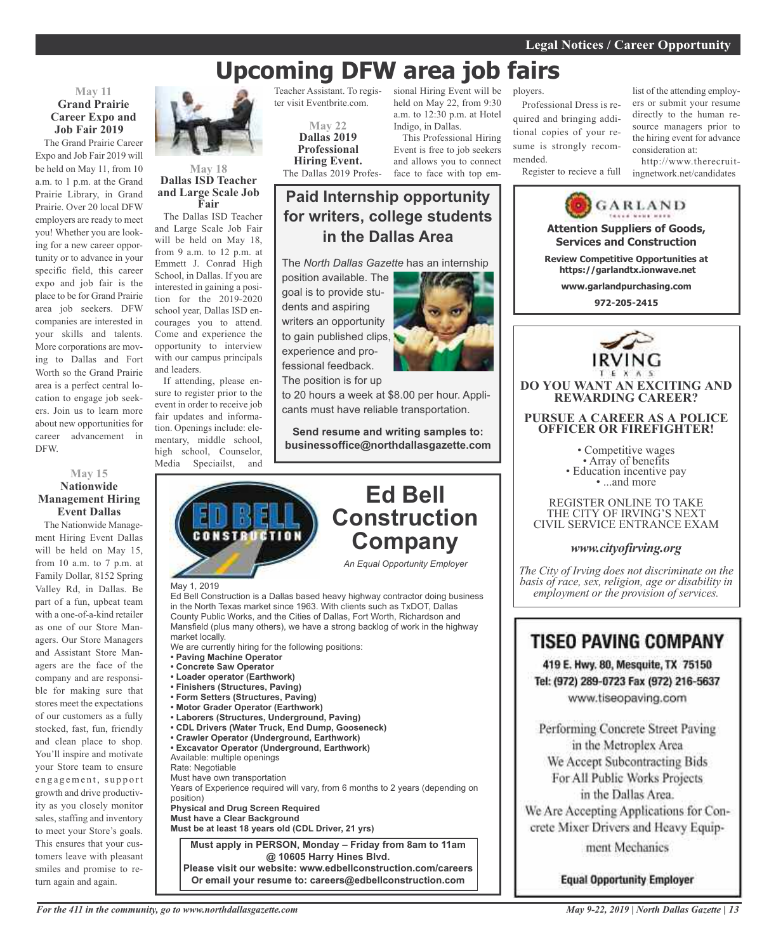# **Upcoming DFW area job fairs**

## **May 11 Grand Prairie Career Expo and Job Fair 2019**

The Grand Prairie Career Expo and Job Fair 2019 will be held on May 11, from 10 a.m. to 1 p.m. at the Grand Prairie Library, in Grand Prairie. Over 20 local DFW employers are ready to meet you! Whether you are looking for a new career opportunity or to advance in your specific field, this career expo and job fair is the place to be for Grand Prairie area job seekers. DFW companies are interested in your skills and talents. More corporations are moving to Dallas and Fort Worth so the Grand Prairie area is a perfect central location to engage job seekers. Join us to learn more about new opportunities for career advancement in DFW.

## **May 15 Nationwide Management Hiring Event Dallas**

The Nationwide Management Hiring Event Dallas will be held on May 15, from 10 a.m. to 7 p.m. at Family Dollar, 8152 Spring Valley Rd, in Dallas. Be part of a fun, upbeat team with a one-of-a-kind retailer as one of our Store Managers. Our Store Managers and Assistant Store Managers are the face of the company and are responsible for making sure that stores meet the expectations of our customers as a fully stocked, fast, fun, friendly and clean place to shop. You'll inspire and motivate your Store team to ensure engagement, support growth and drive productivity as you closely monitor sales, staffing and inventory to meet your Store's goals. This ensures that your customers leave with pleasant smiles and promise to return again and again.



### **May 18 Dallas ISD Teacher and Large Scale Job Fair**

The Dallas ISD Teacher and Large Scale Job Fair will be held on May 18, from 9 a.m. to 12 p.m. at Emmett J. Conrad High School, in Dallas. If you are interested in gaining a position for the 2019-2020 school year, Dallas ISD encourages you to attend. Come and experience the opportunity to interview with our campus principals and leaders.

If attending, please ensure to register prior to the event in order to receive job fair updates and information. Openings include: elementary, middle school, high school, Counselor, Media Speciailst, and

May 1, 2019

market locally.

Rate: Negotiable

position)

Teacher Assistant. To register visit Eventbrite.com.

> **May 22 Dallas 2019 Professional Hiring Event.** The Dallas 2019 Profes-

sional Hiring Event will be held on May 22, from 9:30 a.m. to 12:30 p.m. at Hotel Indigo, in Dallas. This Professional Hiring

Event is free to job seekers and allows you to connect face to face with top em-

### ployers.

Professional Dress is required and bringing additional copies of your resume is strongly recommended.

Register to recieve a full

list of the attending employers or submit your resume directly to the human resource managers prior to the hiring event for advance consideration at:

http://www.therecruitingnetwork.net/candidates



**Please visit our website: www.edbellconstruction.com/careers Or email your resume to: careers@edbellconstruction.com**



**Equal Opportunity Employer**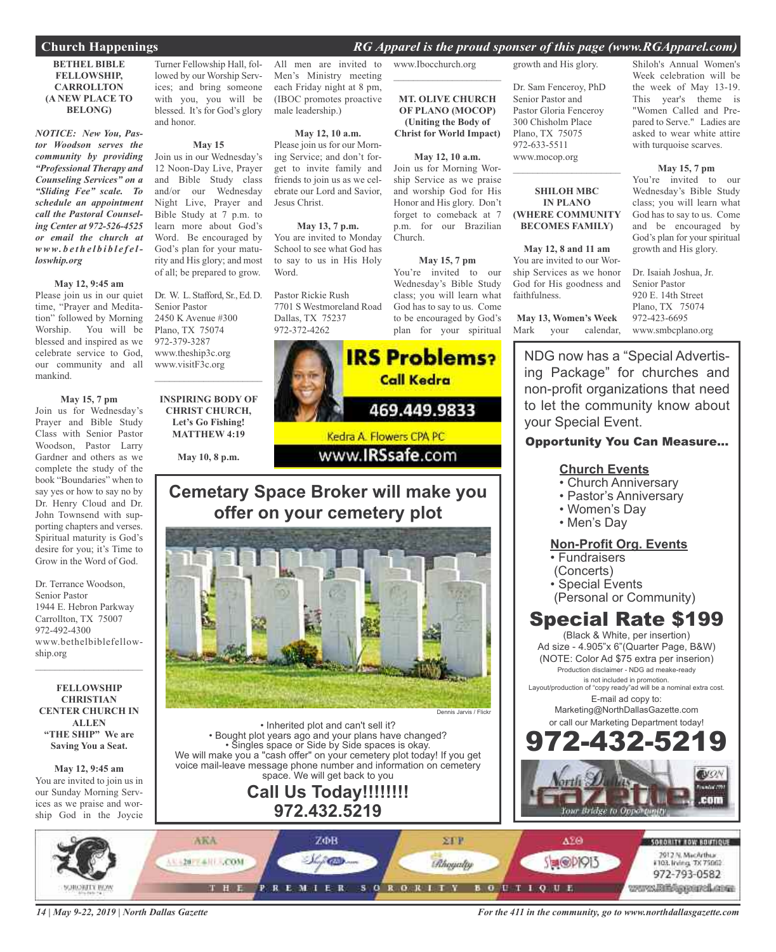## **Church Happenings** *RG Apparel is the proud sponser of this page (www.RGApparel.com)*

#### **BETHEL BIBLE FELLOWSHIP, CARROLLTON (A NEW PLACE TO BELONG)**

*NOTICE: New You, Pastor Woodson serves the community by providing "Professional Therapy and Counseling Services" on a "Sliding Fee" scale. To schedule an appointment call the Pastoral Counseling Center at 972-526-4525 or email the church at www. b e t h e l b i b l e f e lloswhip.org*

#### **May 12, 9:45 am**

Please join us in our quiet time, "Prayer and Meditation" followed by Morning Worship. You will be blessed and inspired as we celebrate service to God, our community and all mankind.

#### **May 15, 7 pm**

Join us for Wednesday's Prayer and Bible Study Class with Senior Pastor Woodson, Pastor Larry Gardner and others as we complete the study of the book "Boundaries" when to say yes or how to say no by Dr. Henry Cloud and Dr. John Townsend with supporting chapters and verses. Spiritual maturity is God's desire for you; it's Time to Grow in the Word of God.

Dr. Terrance Woodson, Senior Pastor 1944 E. Hebron Parkway Carrollton, TX 75007 972-492-4300 www.bethelbiblefellowship.org  $\mathcal{L}=\mathcal{L}^{\mathcal{L}}$  , where  $\mathcal{L}^{\mathcal{L}}$  , we have the set of the set of the set of the set of the set of the set of the set of the set of the set of the set of the set of the set of the set of the set of the set of

**FELLOWSHIP CHRISTIAN CENTER CHURCH IN ALLEN "THE SHIP" We are Saving You a Seat.**

#### **May 12, 9:45 am**

You are invited to join us in our Sunday Morning Services as we praise and worship God in the Joycie

Turner Fellowship Hall, followed by our Worship Services; and bring someone with you, you will be blessed. It's for God's glory and honor.

## **May 15**

Join us in our Wednesday's 12 Noon-Day Live, Prayer and Bible Study class and/or our Wednesday Night Live, Prayer and Bible Study at 7 p.m. to learn more about God's Word. Be encouraged by God's plan for your maturity and His glory; and most of all; be prepared to grow.

Dr. W. L. Stafford, Sr., Ed. D. Senior Pastor 2450 K Avenue #300 Plano, TX 75074 972-379-3287 www.theship3c.org www.visitF3c.org  $\overline{\phantom{a}}$  , and the set of the set of the set of the set of the set of the set of the set of the set of the set of the set of the set of the set of the set of the set of the set of the set of the set of the set of the s

**INSPIRING BODY OF CHRIST CHURCH, Let's Go Fishing! MATTHEW 4:19**

**May 10, 8 p.m.**

All men are invited to Men's Ministry meeting each Friday night at 8 pm, (IBOC promotes proactive male leadership.)

**May 12, 10 a.m.** Please join us for our Morning Service; and don't forget to invite family and friends to join us as we cel-

**May 13, 7 p.m.** You are invited to Monday School to see what God has to say to us in His Holy Word.

Jesus Christ.

Pastor Rickie Rush 7701 S Westmoreland Road Dallas, TX 75237 972-372-4262

# **IRS Problems? Call Kedra** 469.449.9833 Kedra A. Flowers CPA PC

www.**IRSsafe.com** 

## **Cemetary Space Broker will make you offer on your cemetery plot**



• Inherited plot and can't sell it? • Bought plot years ago and your plans have changed? • Singles space or Side by Side spaces is okay. We will make you a "cash offer" on your cemetery plot today! If you get voice mail-leave message phone number and information on cemetery space. We will get back to you

## **Call Us Today!!!!!!!! 972.432.5219**

Dr. Sam Fenceroy, PhD Senior Pastor and Pastor Gloria Fenceroy 300 Chisholm Place Plano, TX 75075 972-633-5511 www.mocop.org

## **SHILOH MBC IN PLANO (WHERE COMMUNITY BECOMES FAMILY)**

**May 12, 8 and 11 am** You are invited to our Worship Services as we honor God for His goodness and faithfulness.

**May 13, Women's Week** Mark your calendar,

Shiloh's Annual Women's Week celebration will be the week of May 13-19. This year's theme is "Women Called and Prepared to Serve." Ladies are asked to wear white attire with turquoise scarves.

#### **May 15, 7 pm**

You're invited to our Wednesday's Bible Study class; you will learn what God has to say to us. Come and be encouraged by God's plan for your spiritual growth and His glory.

Dr. Isaiah Joshua, Jr. Senior Pastor 920 E. 14th Street Plano, TX 75074 972-423-6695 www.smbcplano.org

NDG now has a "Special Advertising Package" for churches and non-profit organizations that need to let the community know about your Special Event.

## Opportunity You Can Measure...

## **Church Events**

- Church Anniversary
- Pastor's Anniversary
- Women's Day
- Men's Day

## **Non-Profit Org. Events**

- Fundraisers
- (Concerts)
- Special Events
- (Personal or Community)

## Special Rate \$199

(Black & White, per insertion) Ad size - 4.905"x 6"(Quarter Page, B&W) (NOTE: Color Ad \$75 extra per inserion) Production disclaimer - NDG ad meake-ready is not included in promotion.

Layout/production of "copy ready"ad will be a nominal extra cost. E-mail ad copy to:

> Marketing@NorthDallasGazette.com or call our Marketing Department today!





*14 | May 9-22, 2019 | North Dallas Gazette*

*For the 411 in the community, go to www.northdallasgazette.com*



www.Ibocchurch.org  $\mathcal{L}_\text{max}$  , which is a set of the set of the set of the set of the set of the set of the set of the set of the set of the set of the set of the set of the set of the set of the set of the set of the set of the set of

**MT. OLIVE CHURCH OF PLANO (MOCOP) (Uniting the Body of Christ for World Impact)**

**May 12, 10 a.m.**

## **May 15, 7 pm**

You're invited to our Wednesday's Bible Study class; you will learn what God has to say to us. Come to be encouraged by God's plan for your spiritual growth and His glory.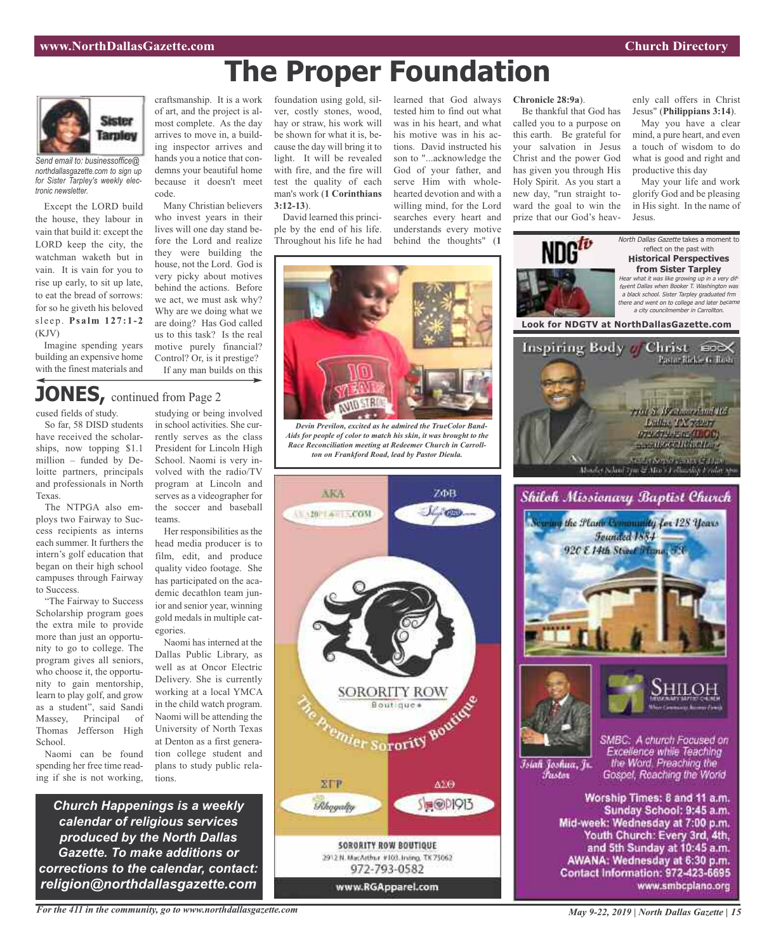# **The Proper Foundation**



*Send email to: businessoffice@ northdallasgazette.com to sign up for Sister Tarpley's weekly electronic newsletter.*

Except the LORD build the house, they labour in vain that build it: except the LORD keep the city, the watchman waketh but in vain. It is vain for you to rise up early, to sit up late, to eat the bread of sorrows: for so he giveth his beloved sl e ep . **Ps a lm 127: 1 - 2** (KJV)

Imagine spending years building an expensive home with the finest materials and

craftsmanship. It is a work of art, and the project is almost complete. As the day arrives to move in, a building inspector arrives and hands you a notice that condemns your beautiful home because it doesn't meet code.

Many Christian believers who invest years in their lives will one day stand before the Lord and realize they were building the house, not the Lord. God is very picky about motives behind the actions. Before we act, we must ask why? Why are we doing what we are doing? Has God called us to this task? Is the real motive purely financial? Control? Or, is it prestige? If any man builds on this

foundation using gold, silver, costly stones, wood, hay or straw, his work will be shown for what it is, because the day will bring it to light. It will be revealed with fire, and the fire will test the quality of each man's work (**1 Corinthians 3:12-13**).

David learned this principle by the end of his life. Throughout his life he had learned that God always tested him to find out what was in his heart, and what his motive was in his actions. David instructed his son to "...acknowledge the God of your father, and serve Him with wholehearted devotion and with a willing mind, for the Lord searches every heart and understands every motive behind the thoughts" (**1**

#### **Chronicle 28:9a**).

Be thankful that God has called you to a purpose on this earth. Be grateful for your salvation in Jesus Christ and the power God has given you through His Holy Spirit. As you start a new day, "run straight toward the goal to win the prize that our God's heavenly call offers in Christ Jesus" (**Philippians 3:14**).

May you have a clear mind, a pure heart, and even a touch of wisdom to do what is good and right and productive this day

May your life and work glorify God and be pleasing in His sight. In the name of Jesus.



## **JONES,** continued from Page <sup>2</sup>

cused fields of study.

So far, 58 DISD students have received the scholarships, now topping \$1.1 million – funded by Deloitte partners, principals and professionals in North Texas.

The NTPGA also employs two Fairway to Success recipients as interns each summer. It furthers the intern's golf education that began on their high school campuses through Fairway to Success.

"The Fairway to Success Scholarship program goes the extra mile to provide more than just an opportunity to go to college. The program gives all seniors, who choose it, the opportunity to gain mentorship, learn to play golf, and grow as a student", said Sandi Massey, Principal of Thomas Jefferson High School.

Naomi can be found spending her free time reading if she is not working,

studying or being involved in school activities. She currently serves as the class President for Lincoln High School. Naomi is very involved with the radio/TV program at Lincoln and serves as a videographer for the soccer and baseball teams.

Her responsibilities as the head media producer is to film, edit, and produce quality video footage. She has participated on the academic decathlon team junior and senior year, winning gold medals in multiple categories.

Naomi has interned at the Dallas Public Library, as well as at Oncor Electric Delivery. She is currently working at a local YMCA in the child watch program. Naomi will be attending the University of North Texas at Denton as a first generation college student and plans to study public relations.

*Church Happenings is a weekly calendar of religious services produced by the North Dallas Gazette. To make additions or corrections to the calendar, contact: religion@northdallasgazette.com*

*For the 411 in the community, go to www.northdallasgazette.com*



*Devin Previlon, excited as he admired the TrueColor Band-Aids for people of color to match his skin, it was brought to the Race Reconciliation meeting at Redeemer Church in Carrollton on Frankford Road, lead by Pastor Dieula.*



*May 9-22, 2019 | North Dallas Gazette | 15*